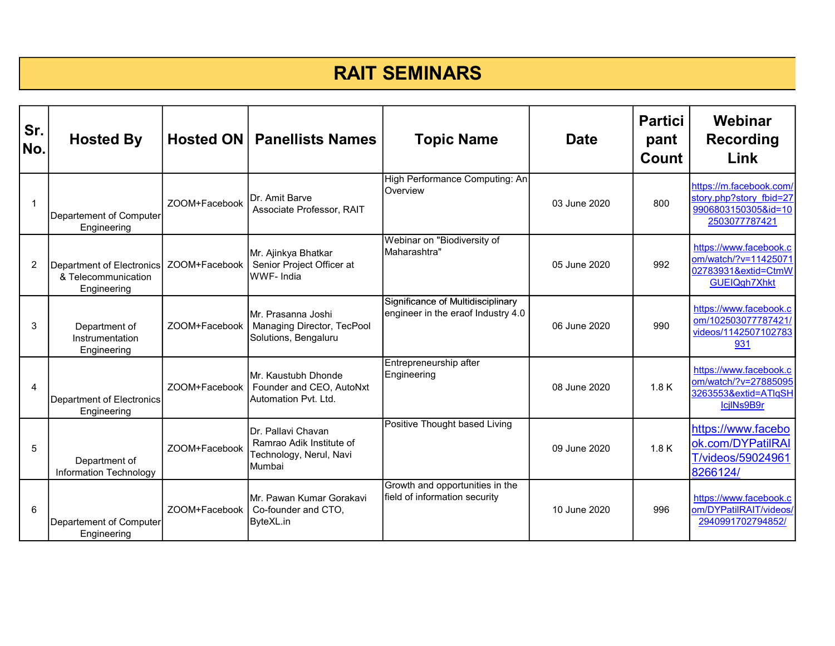## RAIT SEMINARS

| Sr.<br>No.     | <b>Hosted By</b>                                                |               | <b>Hosted ON   Panellists Names</b>                                                 | <b>Topic Name</b>                                                       | <b>Date</b>  | <b>Partici</b><br>pant<br>Count | Webinar<br><b>Recording</b><br>Link                                                          |
|----------------|-----------------------------------------------------------------|---------------|-------------------------------------------------------------------------------------|-------------------------------------------------------------------------|--------------|---------------------------------|----------------------------------------------------------------------------------------------|
| $\mathbf{1}$   | Departement of Computer<br>Engineering                          | ZOOM+Facebook | Dr. Amit Barve<br>Associate Professor, RAIT                                         | High Performance Computing: An<br><b>Overview</b>                       | 03 June 2020 | 800                             | https://m.facebook.com/<br>story.php?story fbid=27<br>9906803150305&id=10<br>2503077787421   |
| 2              | Department of Electronics<br>& Telecommunication<br>Engineering | ZOOM+Facebook | Mr. Ajinkya Bhatkar<br>Senior Project Officer at<br>WWF-India                       | Webinar on "Biodiversity of<br>Maharashtra"                             | 05 June 2020 | 992                             | https://www.facebook.c<br>om/watch/?v=11425071<br>02783931&extid=CtmW<br><b>GUEIQgh7Xhkt</b> |
| 3              | Department of<br>Instrumentation<br>Engineering                 | ZOOM+Facebook | Mr. Prasanna Joshi<br>Managing Director, TecPool<br>Solutions, Bengaluru            | Significance of Multidisciplinary<br>engineer in the eraof Industry 4.0 | 06 June 2020 | 990                             | https://www.facebook.c<br>om/102503077787421/<br>videos/1142507102783<br>931                 |
| $\overline{4}$ | Department of Electronics<br>Engineering                        | ZOOM+Facebook | Mr. Kaustubh Dhonde<br>Founder and CEO, AutoNxt<br>Automation Pvt. Ltd.             | Entrepreneurship after<br>Engineering                                   | 08 June 2020 | 1.8K                            | https://www.facebook.c<br>om/watch/?v=27885095<br>3263553&extid=ATlqSH<br>IcilNs9B9r         |
| 5              | Department of<br>Information Technology                         | ZOOM+Facebook | Dr. Pallavi Chavan<br>Ramrao Adik Institute of<br>Technology, Nerul, Navi<br>Mumbai | Positive Thought based Living                                           | 09 June 2020 | 1.8K                            | https://www.facebo<br>ok.com/DYPatilRAI<br>T/videos/59024961<br>8266124/                     |
| 6              | Departement of Computer<br>Engineering                          | ZOOM+Facebook | İMr. Pawan Kumar Gorakavi<br>Co-founder and CTO,<br>ByteXL.in                       | Growth and opportunities in the<br>field of information security        | 10 June 2020 | 996                             | https://www.facebook.c<br>om/DYPatilRAIT/videos/<br>2940991702794852/                        |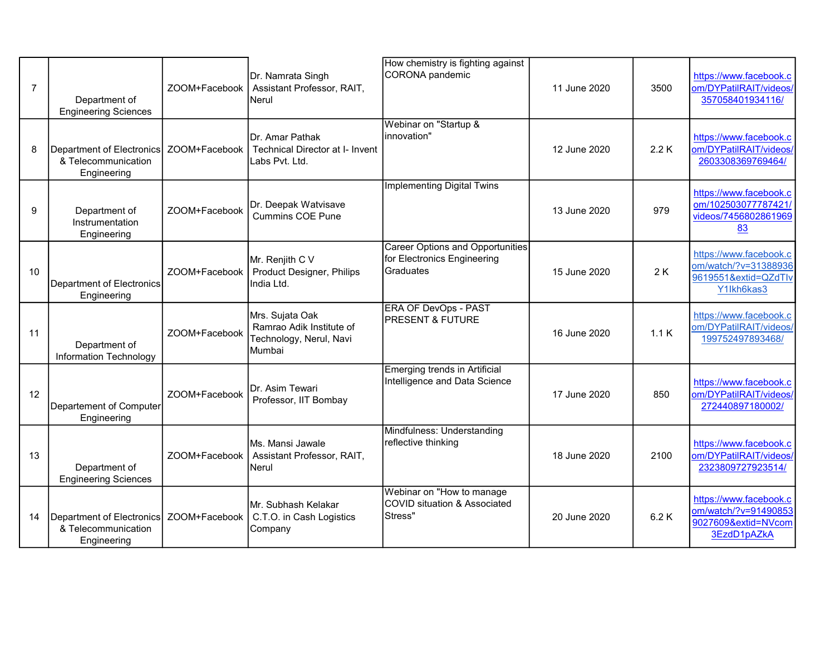| $\overline{7}$ | Department of<br><b>Engineering Sciences</b>                    | ZOOM+Facebook | Dr. Namrata Singh<br>Assistant Professor, RAIT,<br>Nerul                         | How chemistry is fighting against<br>CORONA pandemic                                | 11 June 2020 | 3500 | https://www.facebook.c<br>om/DYPatilRAIT/videos/<br>357058401934116/                 |
|----------------|-----------------------------------------------------------------|---------------|----------------------------------------------------------------------------------|-------------------------------------------------------------------------------------|--------------|------|--------------------------------------------------------------------------------------|
| 8              | Department of Electronics<br>& Telecommunication<br>Engineering | ZOOM+Facebook | Dr. Amar Pathak<br><b>Technical Director at I- Invent</b><br>Labs Pvt. Ltd.      | Webinar on "Startup &<br>linnovation"                                               | 12 June 2020 | 2.2K | https://www.facebook.c<br>om/DYPatilRAIT/videos/<br>2603308369769464/                |
| 9              | Department of<br>Instrumentation<br>Engineering                 | ZOOM+Facebook | Dr. Deepak Watvisave<br><b>Cummins COE Pune</b>                                  | <b>Implementing Digital Twins</b>                                                   | 13 June 2020 | 979  | https://www.facebook.c<br>om/102503077787421/<br>videos/7456802861969<br>83          |
| 10             | Department of Electronics<br>Engineering                        | ZOOM+Facebook | Mr. Renjith C V<br>Product Designer, Philips<br>India Ltd.                       | <b>Career Options and Opportunities</b><br>for Electronics Engineering<br>Graduates | 15 June 2020 | 2K   | https://www.facebook.c<br>om/watch/?v=31388936<br>9619551&extid=QZdTlv<br>Y1Ikh6kas3 |
| 11             | Department of<br>Information Technology                         | ZOOM+Facebook | Mrs. Sujata Oak<br>Ramrao Adik Institute of<br>Technology, Nerul, Navi<br>Mumbai | <b>ERA OF DevOps - PAST</b><br><b>IPRESENT &amp; FUTURE</b>                         | 16 June 2020 | 1.1K | https://www.facebook.c<br>om/DYPatilRAIT/videos/<br>199752497893468/                 |
| 12             | Departement of Computer<br>Engineering                          | ZOOM+Facebook | Dr. Asim Tewari<br>Professor, IIT Bombay                                         | Emerging trends in Artificial<br>Intelligence and Data Science                      | 17 June 2020 | 850  | https://www.facebook.c<br>om/DYPatilRAIT/videos/<br>272440897180002/                 |
| 13             | Department of<br><b>Engineering Sciences</b>                    | ZOOM+Facebook | Ms. Mansi Jawale<br>Assistant Professor, RAIT,<br>Nerul                          | Mindfulness: Understanding<br>reflective thinking                                   | 18 June 2020 | 2100 | https://www.facebook.c<br>om/DYPatilRAIT/videos/<br>2323809727923514/                |
| 14             | Department of Electronics<br>& Telecommunication<br>Engineering | ZOOM+Facebook | Mr. Subhash Kelakar<br>C.T.O. in Cash Logistics<br>Company                       | Webinar on "How to manage"<br>COVID situation & Associated<br>Stress"               | 20 June 2020 | 6.2K | https://www.facebook.c<br>om/watch/?v=91490853<br>9027609&extid=NVcom<br>3EzdD1pAZkA |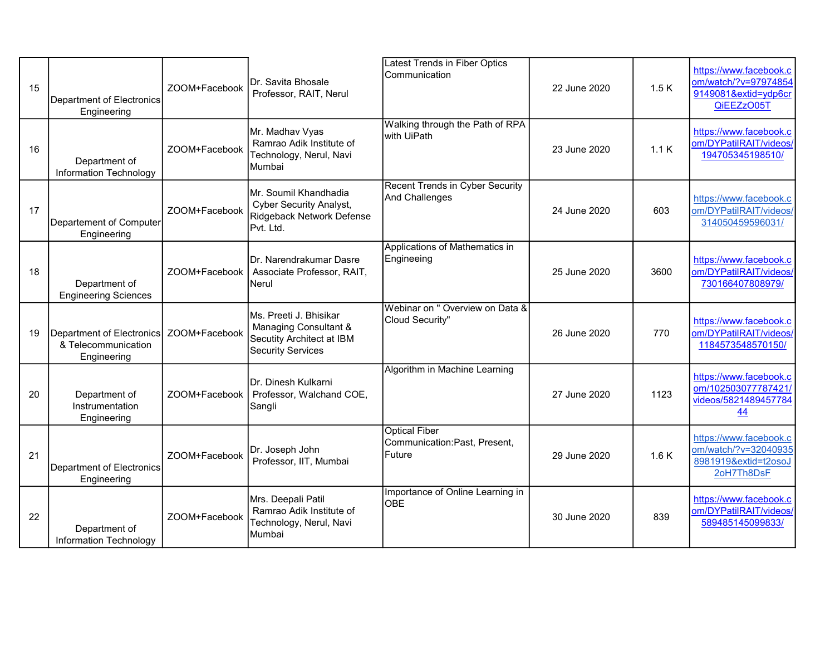| 15 | Department of Electronics<br>Engineering                        | ZOOM+Facebook | Dr. Savita Bhosale<br>Professor, RAIT, Nerul                                                             | Latest Trends in Fiber Optics<br>Communication                  | 22 June 2020 | 1.5K | https://www.facebook.c<br>om/watch/?v=97974854<br>9149081&extid=ydp6cr<br>QiEEZzO05T |
|----|-----------------------------------------------------------------|---------------|----------------------------------------------------------------------------------------------------------|-----------------------------------------------------------------|--------------|------|--------------------------------------------------------------------------------------|
| 16 | Department of<br>Information Technology                         | ZOOM+Facebook | Mr. Madhav Vyas<br>Ramrao Adik Institute of<br>Technology, Nerul, Navi<br>IMumbai                        | Walking through the Path of RPA<br>with UiPath                  | 23 June 2020 | 1.1K | https://www.facebook.c<br>om/DYPatilRAIT/videos/<br>194705345198510/                 |
| 17 | Departement of Computer<br>Engineering                          | ZOOM+Facebook | Mr. Soumil Khandhadia<br><b>Cyber Security Analyst,</b><br>Ridgeback Network Defense<br>Pvt. Ltd.        | <b>Recent Trends in Cyber Security</b><br>And Challenges        | 24 June 2020 | 603  | https://www.facebook.c<br>om/DYPatilRAIT/videos/<br>314050459596031/                 |
| 18 | Department of<br><b>Engineering Sciences</b>                    | ZOOM+Facebook | Dr. Narendrakumar Dasre<br>Associate Professor, RAIT,<br>Nerul                                           | Applications of Mathematics in<br>Engineeing                    | 25 June 2020 | 3600 | https://www.facebook.c<br>om/DYPatilRAIT/videos/<br>730166407808979/                 |
| 19 | Department of Electronics<br>& Telecommunication<br>Engineering | ZOOM+Facebook | Ms. Preeti J. Bhisikar<br>Managing Consultant &<br>Secutity Architect at IBM<br><b>Security Services</b> | Webinar on " Overview on Data &<br>Cloud Security"              | 26 June 2020 | 770  | https://www.facebook.c<br>om/DYPatilRAIT/videos/<br>1184573548570150/                |
| 20 | Department of<br>Instrumentation<br>Engineering                 | ZOOM+Facebook | <b>IDr. Dinesh Kulkarni</b><br>Professor, Walchand COE,<br>Sangli                                        | Algorithm in Machine Learning                                   | 27 June 2020 | 1123 | https://www.facebook.c<br>om/102503077787421/<br>videos/5821489457784<br>44          |
| 21 | Department of Electronics<br>Engineering                        | ZOOM+Facebook | Dr. Joseph John<br>Professor, IIT, Mumbai                                                                | <b>Optical Fiber</b><br>Communication: Past, Present,<br>Future | 29 June 2020 | 1.6K | https://www.facebook.c<br>om/watch/?v=32040935<br>8981919&extid=t2osoJ<br>2oH7Th8DsF |
| 22 | Department of<br>Information Technology                         | ZOOM+Facebook | Mrs. Deepali Patil<br>Ramrao Adik Institute of<br>Technology, Nerul, Navi<br>Mumbai                      | Importance of Online Learning in<br>OBE                         | 30 June 2020 | 839  | https://www.facebook.c<br>om/DYPatilRAIT/videos/<br>589485145099833/                 |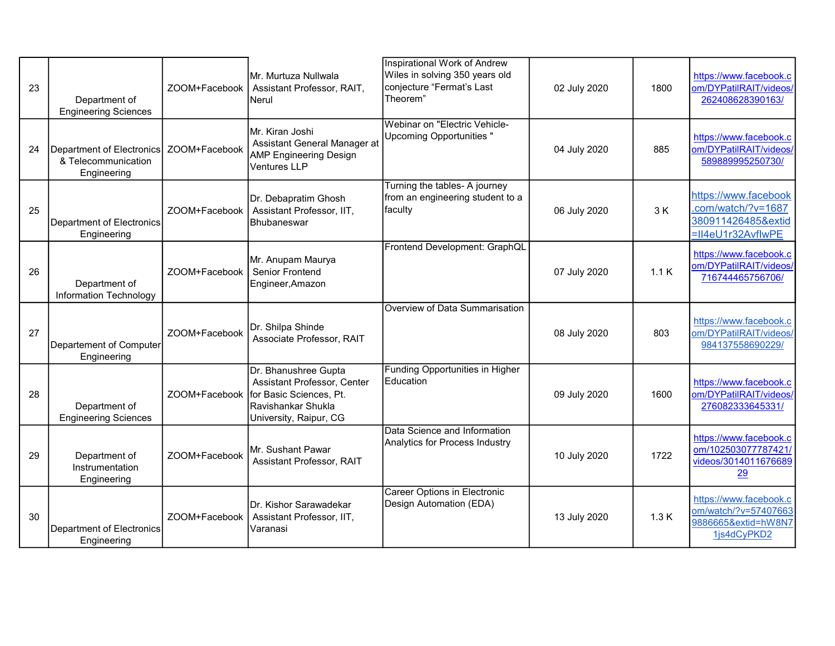| 23 | Department of<br><b>Engineering Sciences</b>                    | ZOOM+Facebook | Mr. Murtuza Nullwala<br>Assistant Professor, RAIT,<br>Nerul                                                                                   | Inspirational Work of Andrew<br>Wiles in solving 350 years old<br>conjecture "Fermat's Last<br>Theorem" | 02 July 2020 | 1800 | https://www.facebook.c<br>om/DYPatilRAIT/videos/<br>262408628390163/                  |
|----|-----------------------------------------------------------------|---------------|-----------------------------------------------------------------------------------------------------------------------------------------------|---------------------------------------------------------------------------------------------------------|--------------|------|---------------------------------------------------------------------------------------|
| 24 | Department of Electronics<br>& Telecommunication<br>Engineering | ZOOM+Facebook | İMr. Kiran Joshi<br>Assistant General Manager at<br><b>AMP Engineering Design</b><br><b>Ventures LLP</b>                                      | Webinar on "Electric Vehicle-<br>Upcoming Opportunities"                                                | 04 July 2020 | 885  | https://www.facebook.c<br>om/DYPatilRAIT/videos/<br>589889995250730/                  |
| 25 | Department of Electronics<br>Engineering                        | ZOOM+Facebook | Dr. Debapratim Ghosh<br>Assistant Professor, IIT,<br><b>Bhubaneswar</b>                                                                       | Turning the tables- A journey<br>from an engineering student to a<br>faculty                            | 06 July 2020 | 3 K  | https://www.facebook<br>.com/watch/?v=1687<br>380911426485&extid<br>=II4eU1r32AvflwPE |
| 26 | Department of<br>Information Technology                         | ZOOM+Facebook | Mr. Anupam Maurya<br>Senior Frontend<br>Engineer, Amazon                                                                                      | Frontend Development: GraphQL                                                                           | 07 July 2020 | 1.1K | https://www.facebook.c<br>om/DYPatilRAIT/videos/<br>716744465756706/                  |
| 27 | Departement of Computer<br>Engineering                          | ZOOM+Facebook | Dr. Shilpa Shinde<br>Associate Professor, RAIT                                                                                                | Overview of Data Summarisation                                                                          | 08 July 2020 | 803  | https://www.facebook.c<br>om/DYPatilRAIT/videos/<br>984137558690229/                  |
| 28 | Department of<br><b>Engineering Sciences</b>                    |               | Dr. Bhanushree Gupta<br>Assistant Professor, Center<br>ZOOM+Facebook for Basic Sciences, Pt.<br>lRavishankar Shukla<br>University, Raipur, CG | Funding Opportunities in Higher<br><b>Education</b>                                                     | 09 July 2020 | 1600 | https://www.facebook.c<br>om/DYPatilRAIT/videos/<br>276082333645331/                  |
| 29 | Department of<br>Instrumentation<br>Engineering                 | ZOOM+Facebook | Mr. Sushant Pawar<br>Assistant Professor, RAIT                                                                                                | Data Science and Information<br>Analytics for Process Industry                                          | 10 July 2020 | 1722 | https://www.facebook.c<br>om/102503077787421/<br>videos/3014011676689<br>29           |
| 30 | Department of Electronics<br>Engineering                        | ZOOM+Facebook | Dr. Kishor Sarawadekar<br>Assistant Professor, IIT,<br>Varanasi                                                                               | <b>Career Options in Electronic</b><br>Design Automation (EDA)                                          | 13 July 2020 | 1.3K | https://www.facebook.c<br>om/watch/?v=57407663<br>9886665&extid=hW8N7<br>1js4dCyPKD2  |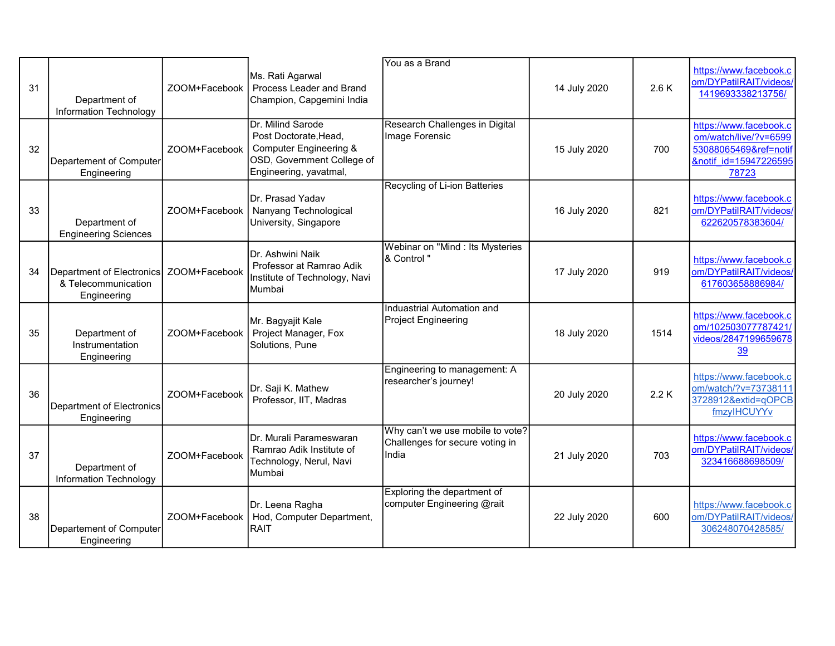| 31 | Department of<br>Information Technology                                         | ZOOM+Facebook | Ms. Rati Agarwal<br>Process Leader and Brand<br>Champion, Capgemini India                                                               | You as a Brand                                                               | 14 July 2020 | 2.6K | https://www.facebook.c<br>om/DYPatilRAIT/videos/<br>1419693338213756/                                      |
|----|---------------------------------------------------------------------------------|---------------|-----------------------------------------------------------------------------------------------------------------------------------------|------------------------------------------------------------------------------|--------------|------|------------------------------------------------------------------------------------------------------------|
| 32 | Departement of Computer<br>Engineering                                          | ZOOM+Facebook | Dr. Milind Sarode<br>Post Doctorate, Head,<br><b>Computer Engineering &amp;</b><br>OSD, Government College of<br>Engineering, yavatmal, | Research Challenges in Digital<br>Image Forensic                             | 15 July 2020 | 700  | https://www.facebook.c<br>om/watch/live/?v=6599<br>53088065469&ref=notif<br>&notif id=15947226595<br>78723 |
| 33 | Department of<br><b>Engineering Sciences</b>                                    | ZOOM+Facebook | <b>IDr. Prasad Yadav</b><br>Nanyang Technological<br>University, Singapore                                                              | Recycling of Li-ion Batteries                                                | 16 July 2020 | 821  | https://www.facebook.c<br>om/DYPatilRAIT/videos/<br>622620578383604/                                       |
| 34 | Department of Electronics   ZOOM+Facebook<br>& Telecommunication<br>Engineering |               | Dr. Ashwini Naik<br>Professor at Ramrao Adik<br>Institute of Technology, Navi<br>Mumbai                                                 | Webinar on "Mind : Its Mysteries<br>& Control "                              | 17 July 2020 | 919  | https://www.facebook.c<br>om/DYPatilRAIT/videos/<br>617603658886984/                                       |
| 35 | Department of<br>Instrumentation<br>Engineering                                 | ZOOM+Facebook | Mr. Bagyajit Kale<br>Project Manager, Fox<br>Solutions, Pune                                                                            | Induastrial Automation and<br><b>Project Engineering</b>                     | 18 July 2020 | 1514 | https://www.facebook.c<br>om/102503077787421/<br>videos/2847199659678<br><u>39</u>                         |
| 36 | Department of Electronics<br>Engineering                                        | ZOOM+Facebook | Dr. Saji K. Mathew<br>Professor, IIT, Madras                                                                                            | Engineering to management: A<br>researcher's journey!                        | 20 July 2020 | 2.2K | https://www.facebook.c<br>om/watch/?v=73738111<br>3728912&extid=qOPCB<br>fmzylHCUYYv                       |
| 37 | Department of<br>Information Technology                                         | ZOOM+Facebook | Dr. Murali Parameswaran<br>Ramrao Adik Institute of<br>Technology, Nerul, Navi<br><b>I</b> Mumbai                                       | Why can't we use mobile to vote?<br>Challenges for secure voting in<br>India | 21 July 2020 | 703  | https://www.facebook.c<br>om/DYPatilRAIT/videos/<br>323416688698509/                                       |
| 38 | Departement of Computer<br>Engineering                                          | ZOOM+Facebook | Dr. Leena Ragha<br>Hod, Computer Department,<br><b>RAIT</b>                                                                             | Exploring the department of<br>computer Engineering @rait                    | 22 July 2020 | 600  | https://www.facebook.c<br>om/DYPatilRAIT/videos/<br>306248070428585/                                       |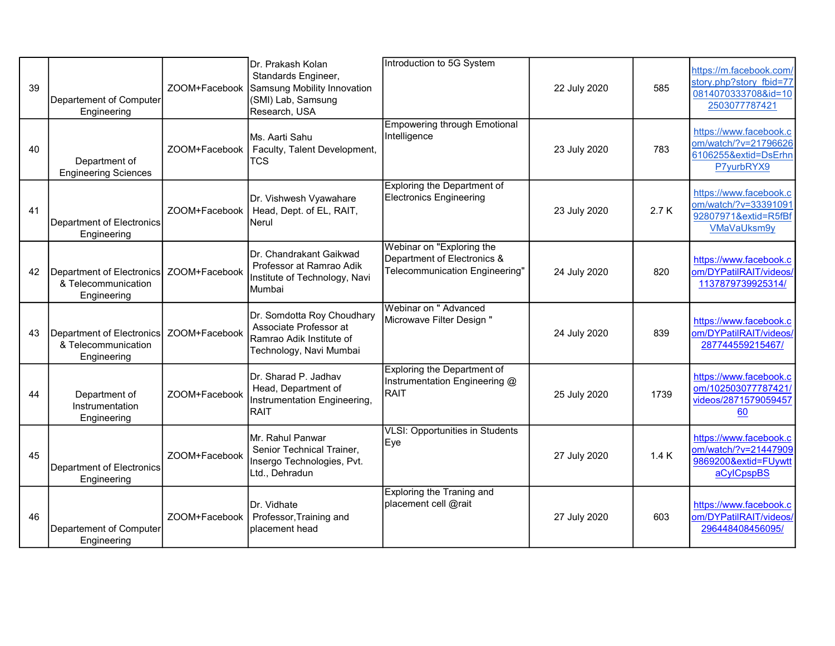| 39 | Departement of Computer<br>Engineering                                          |               | Dr. Prakash Kolan<br>Standards Engineer,<br>ZOOM+Facebook Samsung Mobility Innovation<br>(SMI) Lab, Samsung<br>Research, USA | Introduction to 5G System                                                                  | 22 July 2020 | 585  | https://m.facebook.com/<br>story.php?story fbid=77<br>0814070333708&id=10<br>2503077787421 |
|----|---------------------------------------------------------------------------------|---------------|------------------------------------------------------------------------------------------------------------------------------|--------------------------------------------------------------------------------------------|--------------|------|--------------------------------------------------------------------------------------------|
| 40 | Department of<br><b>Engineering Sciences</b>                                    | ZOOM+Facebook | Ms. Aarti Sahu<br>Faculty, Talent Development,<br><b>TCS</b>                                                                 | <b>Empowering through Emotional</b><br>Intelligence                                        | 23 July 2020 | 783  | https://www.facebook.c<br>om/watch/?v=21796626<br>6106255&extid=DsErhn<br>P7yurbRYX9       |
| 41 | <b>Department of Electronics</b><br>Engineering                                 | ZOOM+Facebook | Dr. Vishwesh Vyawahare<br>Head, Dept. of EL, RAIT,<br><b>Nerul</b>                                                           | Exploring the Department of<br>Electronics Engineering                                     | 23 July 2020 | 2.7K | https://www.facebook.c<br>om/watch/?v=33391091<br>92807971&extid=R5fBf<br>VMaVaUksm9y      |
| 42 | Department of Electronics   ZOOM+Facebook<br>& Telecommunication<br>Engineering |               | Dr. Chandrakant Gaikwad<br>Professor at Ramrao Adik<br>Institute of Technology, Navi<br>Mumbai                               | Webinar on "Exploring the<br>Department of Electronics &<br>Telecommunication Engineering" | 24 July 2020 | 820  | https://www.facebook.c<br>om/DYPatilRAIT/videos/<br>1137879739925314/                      |
| 43 | Department of Electronics<br>& Telecommunication<br>Engineering                 | ZOOM+Facebook | Dr. Somdotta Roy Choudhary<br>Associate Professor at<br>Ramrao Adik Institute of<br>Technology, Navi Mumbai                  | Webinar on " Advanced<br>Microwave Filter Design "                                         | 24 July 2020 | 839  | https://www.facebook.c<br>om/DYPatilRAIT/videos/<br>287744559215467/                       |
| 44 | Department of<br>Instrumentation<br>Engineering                                 | ZOOM+Facebook | Dr. Sharad P. Jadhav<br>Head, Department of<br>Instrumentation Engineering,<br><b>RAIT</b>                                   | Exploring the Department of<br>Instrumentation Engineering @<br><b>RAIT</b>                | 25 July 2020 | 1739 | https://www.facebook.c<br>om/102503077787421/<br>videos/2871579059457<br>60                |
| 45 | Department of Electronics<br>Engineering                                        | ZOOM+Facebook | Mr. Rahul Panwar<br>Senior Technical Trainer,<br>Insergo Technologies, Pvt.<br>Ltd., Dehradun                                | <b>VLSI: Opportunities in Students</b><br>Eye                                              | 27 July 2020 | 1.4K | https://www.facebook.c<br>om/watch/?v=21447909<br>9869200&extid=FUywtt<br>aCylCpspBS       |
| 46 | Departement of Computer<br>Engineering                                          | ZOOM+Facebook | Dr. Vidhate<br>Professor, Training and<br>placement head                                                                     | <b>Exploring the Traning and</b><br>placement cell @rait                                   | 27 July 2020 | 603  | https://www.facebook.c<br>om/DYPatilRAIT/videos/<br>296448408456095/                       |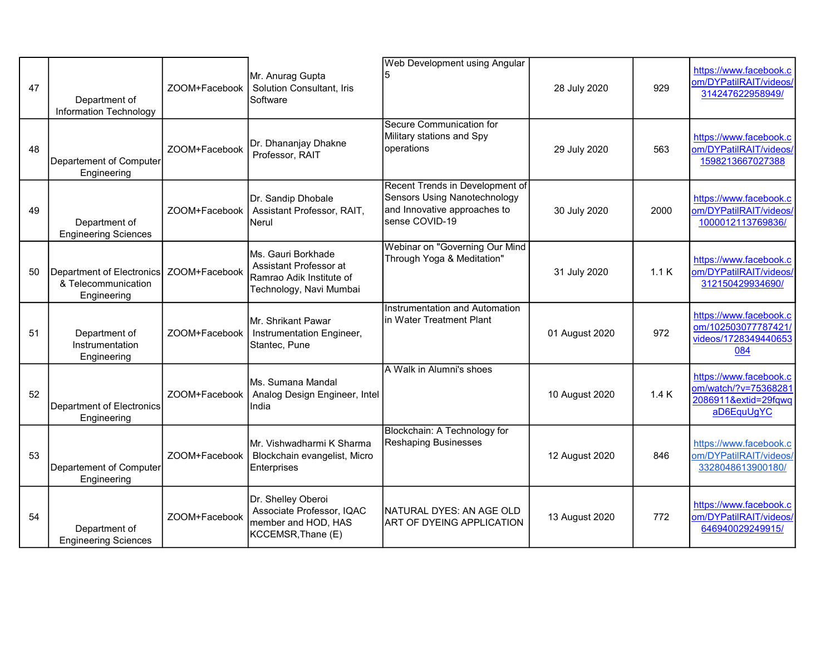| 47 | Department of<br>Information Technology                         | ZOOM+Facebook | Mr. Anurag Gupta<br>Solution Consultant, Iris<br>Software                                           | <b>Web Development using Angular</b>                                                                                     | 28 July 2020   | 929  | https://www.facebook.c<br>om/DYPatilRAIT/videos/<br>314247622958949/                 |
|----|-----------------------------------------------------------------|---------------|-----------------------------------------------------------------------------------------------------|--------------------------------------------------------------------------------------------------------------------------|----------------|------|--------------------------------------------------------------------------------------|
| 48 | Departement of Computer<br>Engineering                          | ZOOM+Facebook | Dr. Dhananjay Dhakne<br>Professor, RAIT                                                             | Secure Communication for<br>Military stations and Spy<br>operations                                                      | 29 July 2020   | 563  | https://www.facebook.c<br>om/DYPatilRAIT/videos/<br>1598213667027388                 |
| 49 | Department of<br><b>Engineering Sciences</b>                    | ZOOM+Facebook | Dr. Sandip Dhobale<br>Assistant Professor, RAIT,<br>Nerul                                           | Recent Trends in Development of<br><b>Sensors Using Nanotechnology</b><br>and Innovative approaches to<br>sense COVID-19 | 30 July 2020   | 2000 | https://www.facebook.c<br>om/DYPatilRAIT/videos/<br>1000012113769836/                |
| 50 | Department of Electronics<br>& Telecommunication<br>Engineering | ZOOM+Facebook | Ms. Gauri Borkhade<br>Assistant Professor at<br>Ramrao Adik Institute of<br>Technology, Navi Mumbai | Webinar on "Governing Our Mind<br>Through Yoga & Meditation"                                                             | 31 July 2020   | 1.1K | https://www.facebook.c<br>om/DYPatilRAIT/videos/<br>312150429934690/                 |
| 51 | Department of<br>Instrumentation<br>Engineering                 | ZOOM+Facebook | Mr. Shrikant Pawar<br>Instrumentation Engineer,<br>Stantec, Pune                                    | Instrumentation and Automation<br>lin Water Treatment Plant                                                              | 01 August 2020 | 972  | https://www.facebook.c<br>om/102503077787421/<br>videos/1728349440653<br>084         |
| 52 | Department of Electronics<br>Engineering                        | ZOOM+Facebook | Ms. Sumana Mandal<br>Analog Design Engineer, Intel<br>India                                         | A Walk in Alumni's shoes                                                                                                 | 10 August 2020 | 1.4K | https://www.facebook.c<br>om/watch/?v=75368281<br>2086911&extid=29fqwq<br>aD6EquUgYC |
| 53 | Departement of Computer<br>Engineering                          | ZOOM+Facebook | Mr. Vishwadharmi K Sharma<br>Blockchain evangelist, Micro<br><b>Enterprises</b>                     | Blockchain: A Technology for<br>Reshaping Businesses                                                                     | 12 August 2020 | 846  | https://www.facebook.c<br>om/DYPatilRAIT/videos/<br>3328048613900180/                |
| 54 | Department of<br><b>Engineering Sciences</b>                    | ZOOM+Facebook | Dr. Shelley Oberoi<br>Associate Professor, IQAC<br>member and HOD, HAS<br>KCCEMSR, Thane (E)        | NATURAL DYES: AN AGE OLD<br><b>ART OF DYEING APPLICATION</b>                                                             | 13 August 2020 | 772  | https://www.facebook.c<br>om/DYPatilRAIT/videos/<br>646940029249915/                 |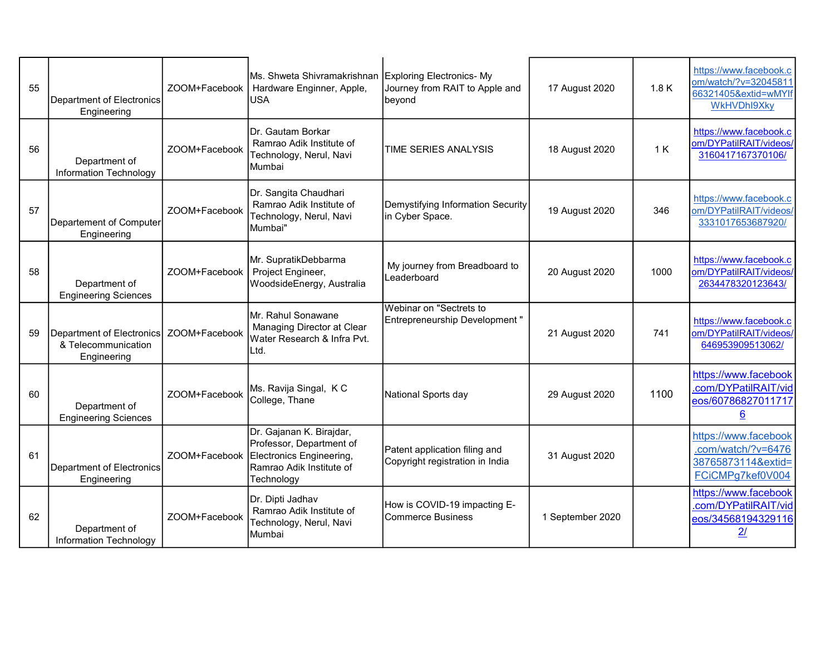| 55 | Department of Electronics<br>Engineering                        | ZOOM+Facebook | Ms. Shweta Shivramakrishnan Exploring Electronics-My<br>Hardware Enginner, Apple,<br>lusa                                                | Journey from RAIT to Apple and<br>beyond                         | 17 August 2020   | 1.8K | https://www.facebook.c<br>om/watch/?v=32045811<br>66321405&extid=wMYIf<br><b>WKHVDhI9Xky</b> |
|----|-----------------------------------------------------------------|---------------|------------------------------------------------------------------------------------------------------------------------------------------|------------------------------------------------------------------|------------------|------|----------------------------------------------------------------------------------------------|
| 56 | Department of<br>Information Technology                         | ZOOM+Facebook | Dr. Gautam Borkar<br>Ramrao Adik Institute of<br>Technology, Nerul, Navi<br>Mumbai                                                       | <b>TIME SERIES ANALYSIS</b>                                      | 18 August 2020   | 1 K  | https://www.facebook.c<br>om/DYPatilRAIT/videos/<br>3160417167370106/                        |
| 57 | Departement of Computer<br>Engineering                          | ZOOM+Facebook | Dr. Sangita Chaudhari<br>Ramrao Adik Institute of<br>Technology, Nerul, Navi<br>Mumbai"                                                  | Demystifying Information Security<br>in Cyber Space.             | 19 August 2020   | 346  | https://www.facebook.c<br>om/DYPatilRAIT/videos/<br>3331017653687920/                        |
| 58 | Department of<br><b>Engineering Sciences</b>                    | ZOOM+Facebook | Mr. SupratikDebbarma<br>Project Engineer,<br>WoodsideEnergy, Australia                                                                   | My journey from Breadboard to<br>Leaderboard                     | 20 August 2020   | 1000 | https://www.facebook.c<br>om/DYPatilRAIT/videos/<br>2634478320123643/                        |
| 59 | Department of Electronics<br>& Telecommunication<br>Engineering | ZOOM+Facebook | Mr. Rahul Sonawane<br>Managing Director at Clear<br>Water Research & Infra Pvt.<br>Ltd.                                                  | Webinar on "Sectrets to<br>Entrepreneurship Development "        | 21 August 2020   | 741  | https://www.facebook.c<br>om/DYPatilRAIT/videos/<br>646953909513062/                         |
| 60 | Department of<br><b>Engineering Sciences</b>                    | ZOOM+Facebook | Ms. Ravija Singal, K C<br>College, Thane                                                                                                 | National Sports day                                              | 29 August 2020   | 1100 | https://www.facebook<br>.com/DYPatilRAIT/vid<br>eos/60786827011717<br>6                      |
| 61 | Department of Electronics<br>Engineering                        |               | Dr. Gajanan K. Birajdar,<br>Professor, Department of<br>ZOOM+Facebook Electronics Engineering,<br>Ramrao Adik Institute of<br>Technology | Patent application filing and<br>Copyright registration in India | 31 August 2020   |      | https://www.facebook<br>.com/watch/?v=6476<br>38765873114&extid=<br>FCiCMPg7kef0V004         |
| 62 | Department of<br>Information Technology                         | ZOOM+Facebook | Dr. Dipti Jadhav<br>Ramrao Adik Institute of<br>Technology, Nerul, Navi<br>Mumbai                                                        | How is COVID-19 impacting E-<br>Commerce Business                | 1 September 2020 |      | https://www.facebook<br>.com/DYPatilRAIT/vid<br>eos/34568194329116<br>21                     |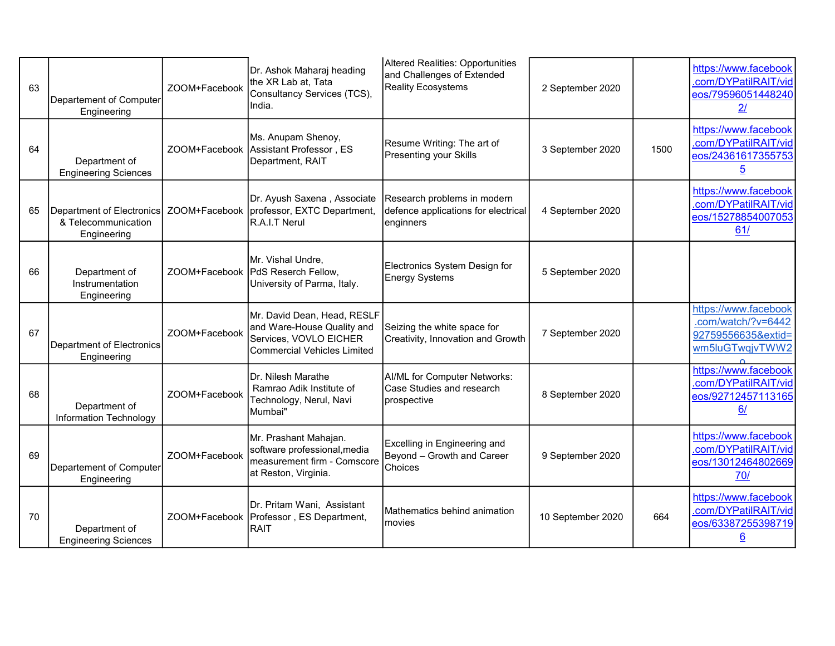| 63 | Departement of Computer<br>Engineering                          | ZOOM+Facebook | Dr. Ashok Maharaj heading<br>the XR Lab at, Tata<br>Consultancy Services (TCS),<br>India.                                 | Altered Realities: Opportunities<br>and Challenges of Extended<br><b>Reality Ecosystems</b> | 2 September 2020  |      | https://www.facebook<br>.com/DYPatilRAIT/vid<br>eos/79596051448240<br>21             |
|----|-----------------------------------------------------------------|---------------|---------------------------------------------------------------------------------------------------------------------------|---------------------------------------------------------------------------------------------|-------------------|------|--------------------------------------------------------------------------------------|
| 64 | Department of<br><b>Engineering Sciences</b>                    |               | Ms. Anupam Shenoy,<br>ZOOM+Facebook Assistant Professor, ES<br>Department, RAIT                                           | Resume Writing: The art of<br>Presenting your Skills                                        | 3 September 2020  | 1500 | https://www.facebook<br>.com/DYPatilRAIT/vid<br>eos/24361617355753<br>$\overline{5}$ |
| 65 | Department of Electronics<br>& Telecommunication<br>Engineering |               | Dr. Ayush Saxena, Associate<br>ZOOM+Facebook   professor, EXTC Department,<br>R.A.I.T Nerul                               | Research problems in modern<br>defence applications for electrical<br>enginners             | 4 September 2020  |      | https://www.facebook<br>.com/DYPatilRAIT/vid<br>eos/15278854007053<br>61/            |
| 66 | Department of<br>Instrumentation<br>Engineering                 |               | Mr. Vishal Undre,<br>ZOOM+Facebook   PdS Reserch Fellow,<br>University of Parma, Italy.                                   | Electronics System Design for<br><b>Energy Systems</b>                                      | 5 September 2020  |      |                                                                                      |
| 67 | Department of Electronics<br>Engineering                        | ZOOM+Facebook | Mr. David Dean, Head, RESLF<br>and Ware-House Quality and<br>Services, VOVLO EICHER<br><b>Commercial Vehicles Limited</b> | Seizing the white space for<br>Creativity, Innovation and Growth                            | 7 September 2020  |      | https://www.facebook<br>.com/watch/?v=6442<br>92759556635&extid=<br>wm5luGTwqjvTWW2  |
| 68 | Department of<br>Information Technology                         | ZOOM+Facebook | <b>IDr. Nilesh Marathe</b><br>Ramrao Adik Institute of<br>Technology, Nerul, Navi<br>Mumbai"                              | AI/ML for Computer Networks:<br>Case Studies and research<br>prospective                    | 8 September 2020  |      | https://www.facebook<br>.com/DYPatilRAIT/vid<br>eos/92712457113165<br>6/             |
| 69 | Departement of Computer<br>Engineering                          | ZOOM+Facebook | Mr. Prashant Mahajan.<br>software professional, media<br>measurement firm - Comscore<br>at Reston, Virginia.              | Excelling in Engineering and<br>Beyond - Growth and Career<br>Choices                       | 9 September 2020  |      | https://www.facebook<br>.com/DYPatilRAIT/vid<br>eos/13012464802669<br>70/            |
| 70 | Department of<br><b>Engineering Sciences</b>                    |               | Dr. Pritam Wani, Assistant<br>ZOOM+Facebook   Professor, ES Department,<br><b>RAIT</b>                                    | Mathematics behind animation<br>movies                                                      | 10 September 2020 | 664  | https://www.facebook<br>.com/DYPatilRAIT/vid<br>eos/63387255398719<br><u>6</u>       |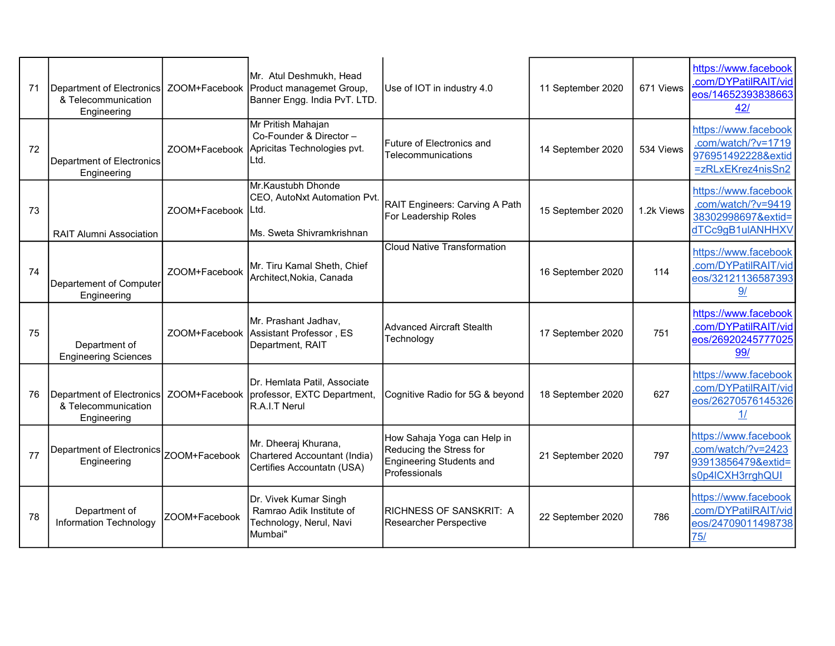| 71 | Department of Electronics<br>& Telecommunication<br>Engineering |               | Mr. Atul Deshmukh. Head<br>ZOOM+Facebook   Product managemet Group,<br>Banner Engg. India PvT. LTD. | Use of IOT in industry 4.0                                                                                 | 11 September 2020 | 671 Views  | https://www.facebook<br>.com/DYPatilRAIT/vid<br>eos/14652393838663<br>42/             |
|----|-----------------------------------------------------------------|---------------|-----------------------------------------------------------------------------------------------------|------------------------------------------------------------------------------------------------------------|-------------------|------------|---------------------------------------------------------------------------------------|
| 72 | Department of Electronics<br>Engineering                        |               | Mr Pritish Mahajan<br>Co-Founder & Director -<br>ZOOM+Facebook Apricitas Technologies pvt.<br>Ltd.  | Future of Electronics and<br>Telecommunications                                                            | 14 September 2020 | 534 Views  | https://www.facebook<br>.com/watch/?v=1719<br>976951492228&extid<br>=zRLxEKrez4nisSn2 |
| 73 | <b>RAIT Alumni Association</b>                                  | ZOOM+Facebook | Mr.Kaustubh Dhonde<br>CEO, AutoNxt Automation Pvt<br>ILtd.<br>Ms. Sweta Shivramkrishnan             | RAIT Engineers: Carving A Path<br>For Leadership Roles                                                     | 15 September 2020 | 1.2k Views | https://www.facebook<br>.com/watch/?v=9419<br>38302998697&extid=<br>dTCc9gB1ulANHHXV  |
| 74 | Departement of Computer<br>Engineering                          | ZOOM+Facebook | Mr. Tiru Kamal Sheth, Chief<br>Architect, Nokia, Canada                                             | <b>Cloud Native Transformation</b>                                                                         | 16 September 2020 | 114        | https://www.facebook<br>.com/DYPatilRAIT/vid<br>eos/32121136587393<br>9/              |
| 75 | Department of<br><b>Engineering Sciences</b>                    |               | Mr. Prashant Jadhav,<br>ZOOM+Facebook Assistant Professor, ES<br>Department, RAIT                   | <b>Advanced Aircraft Stealth</b><br>Technology                                                             | 17 September 2020 | 751        | https://www.facebook<br>.com/DYPatilRAIT/vid<br>eos/26920245777025<br>99/             |
| 76 | Department of Electronics<br>& Telecommunication<br>Engineering |               | Dr. Hemlata Patil, Associate<br>ZOOM+Facebook professor, EXTC Department,<br>R.A.I.T Nerul          | Cognitive Radio for 5G & beyond                                                                            | 18 September 2020 | 627        | https://www.facebook<br>.com/DYPatilRAIT/vid<br>eos/26270576145326<br>1/              |
| 77 | Department of Electronics<br>Engineering                        | ZOOM+Facebook | Mr. Dheeraj Khurana,<br>Chartered Accountant (India)<br>Certifies Accountatn (USA)                  | How Sahaja Yoga can Help in<br>Reducing the Stress for<br><b>Engineering Students and</b><br>Professionals | 21 September 2020 | 797        | https://www.facebook<br>.com/watch/?v=2423<br>93913856479&extid=<br>s0p4lCXH3rrghQUI  |
| 78 | Department of<br><b>Information Technology</b>                  | ZOOM+Facebook | Dr. Vivek Kumar Singh<br>Ramrao Adik Institute of<br>Technology, Nerul, Navi<br>Mumbai"             | RICHNESS OF SANSKRIT: A<br>Researcher Perspective                                                          | 22 September 2020 | 786        | https://www.facebook<br>.com/DYPatilRAIT/vid<br>eos/24709011498738<br>75/             |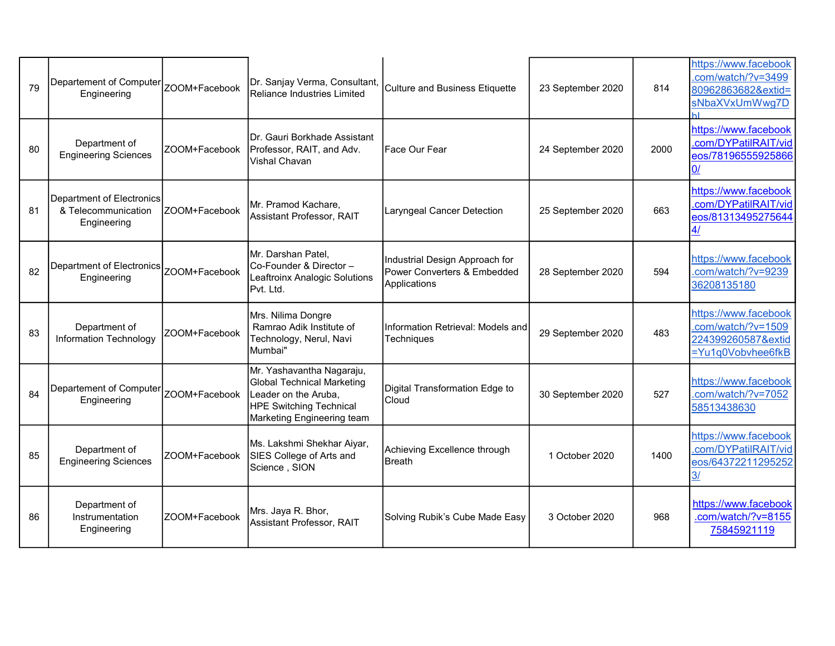| 79 | Departement of Computer<br>Engineering                          | ZOOM+Facebook | Dr. Sanjay Verma, Consultant,<br>Reliance Industries Limited                                                                             | Culture and Business Etiquette                                                | 23 September 2020 | 814  | https://www.facebook<br>.com/watch/?v=3499<br>80962863682&extid=<br>sNbaXVxUmWwg7D    |
|----|-----------------------------------------------------------------|---------------|------------------------------------------------------------------------------------------------------------------------------------------|-------------------------------------------------------------------------------|-------------------|------|---------------------------------------------------------------------------------------|
| 80 | Department of<br><b>Engineering Sciences</b>                    | ZOOM+Facebook | Dr. Gauri Borkhade Assistant<br>Professor, RAIT, and Adv.<br><b>Vishal Chavan</b>                                                        | Face Our Fear                                                                 | 24 September 2020 | 2000 | https://www.facebook<br>.com/DYPatilRAIT/vid<br>eos/78196555925866                    |
| 81 | Department of Electronics<br>& Telecommunication<br>Engineering | ZOOM+Facebook | Mr. Pramod Kachare,<br>Assistant Professor, RAIT                                                                                         | Laryngeal Cancer Detection                                                    | 25 September 2020 | 663  | https://www.facebook<br>.com/DYPatilRAIT/vid<br>eos/81313495275644<br><u>4/</u>       |
| 82 | Department of Electronics<br>Engineering                        | ZOOM+Facebook | Mr. Darshan Patel,<br>Co-Founder & Director -<br>Leaftroinx Analogic Solutions<br>Pvt. Ltd.                                              | Industrial Design Approach for<br>Power Converters & Embedded<br>Applications | 28 September 2020 | 594  | https://www.facebook<br>.com/watch/?v=9239<br>36208135180                             |
| 83 | Department of<br>Information Technology                         | ZOOM+Facebook | Mrs. Nilima Dongre<br>Ramrao Adik Institute of<br>Technology, Nerul, Navi<br>Mumbai"                                                     | Information Retrieval: Models and<br>Techniques                               | 29 September 2020 | 483  | https://www.facebook<br>.com/watch/?v=1509<br>224399260587&extid<br>=Yu1q0Vobvhee6fkB |
| 84 | Departement of Computer<br>Engineering                          | ZOOM+Facebook | Mr. Yashavantha Nagaraju,<br>Global Technical Marketing<br>Leader on the Aruba,<br>HPE Switching Technical<br>Marketing Engineering team | Digital Transformation Edge to<br>Cloud                                       | 30 September 2020 | 527  | https://www.facebook<br>.com/watch/?v=7052<br>58513438630                             |
| 85 | Department of<br><b>Engineering Sciences</b>                    | ZOOM+Facebook | Ms. Lakshmi Shekhar Aiyar,<br>SIES College of Arts and<br>Science, SION                                                                  | Achieving Excellence through<br><b>Breath</b>                                 | 1 October 2020    | 1400 | https://www.facebook<br>.com/DYPatilRAIT/vid<br>eos/64372211295252<br>$\frac{3}{2}$   |
| 86 | Department of<br>Instrumentation<br>Engineering                 | ZOOM+Facebook | Mrs. Jaya R. Bhor,<br>Assistant Professor, RAIT                                                                                          | Solving Rubik's Cube Made Easy                                                | 3 October 2020    | 968  | https://www.facebook<br>.com/watch/?v=8155<br>75845921119                             |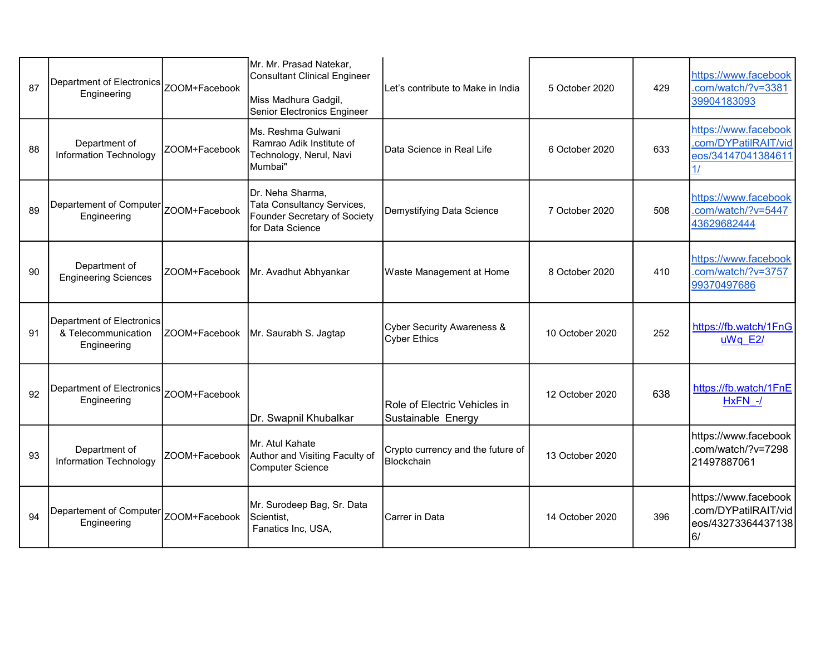| 87 | Department of Electronics<br>Engineering                        | ZOOM+Facebook | Mr. Mr. Prasad Natekar,<br><b>Consultant Clinical Engineer</b><br>Miss Madhura Gadgil,<br>Senior Electronics Engineer | Let's contribute to Make in India                            | 5 October 2020  | 429 | https://www.facebook<br>.com/watch/?v=3381<br>39904183093                |
|----|-----------------------------------------------------------------|---------------|-----------------------------------------------------------------------------------------------------------------------|--------------------------------------------------------------|-----------------|-----|--------------------------------------------------------------------------|
| 88 | Department of<br>Information Technology                         | ZOOM+Facebook | Ms. Reshma Gulwani<br>Ramrao Adik Institute of<br>Technology, Nerul, Navi<br>Mumbai"                                  | Data Science in Real Life                                    | 6 October 2020  | 633 | https://www.facebook<br>.com/DYPatilRAIT/vid<br>eos/34147041384611<br>1/ |
| 89 | Departement of Computer<br>Engineering                          | ZOOM+Facebook | Dr. Neha Sharma,<br>Tata Consultancy Services,<br>Founder Secretary of Society<br>for Data Science                    | Demystifying Data Science                                    | 7 October 2020  | 508 | https://www.facebook<br>.com/watch/?v=5447<br>43629682444                |
| 90 | Department of<br><b>Engineering Sciences</b>                    | ZOOM+Facebook | Mr. Avadhut Abhyankar                                                                                                 | Waste Management at Home                                     | 8 October 2020  | 410 | https://www.facebook<br>.com/watch/?v=3757<br>99370497686                |
| 91 | Department of Electronics<br>& Telecommunication<br>Engineering | ZOOM+Facebook | Mr. Saurabh S. Jagtap                                                                                                 | <b>Cyber Security Awareness &amp;</b><br><b>Cyber Ethics</b> | 10 October 2020 | 252 | https://fb.watch/1FnG<br>uWq E2/                                         |
| 92 | Department of Electronics<br>Engineering                        | ZOOM+Facebook | Dr. Swapnil Khubalkar                                                                                                 | Role of Electric Vehicles in<br>Sustainable Energy           | 12 October 2020 | 638 | https://fb.watch/1FnE<br>HxFN -/                                         |
| 93 | Department of<br><b>Information Technology</b>                  | ZOOM+Facebook | Mr. Atul Kahate<br>Author and Visiting Faculty of<br><b>Computer Science</b>                                          | Crypto currency and the future of<br><b>Blockchain</b>       | 13 October 2020 |     | https://www.facebook<br>.com/watch/?v=7298<br>21497887061                |
| 94 | Departement of Computer<br>Engineering                          | ZOOM+Facebook | Mr. Surodeep Bag, Sr. Data<br>Scientist,<br>Fanatics Inc, USA,                                                        | Carrer in Data                                               | 14 October 2020 | 396 | https://www.facebook<br>.com/DYPatilRAIT/vid<br>eos/43273364437138<br>6/ |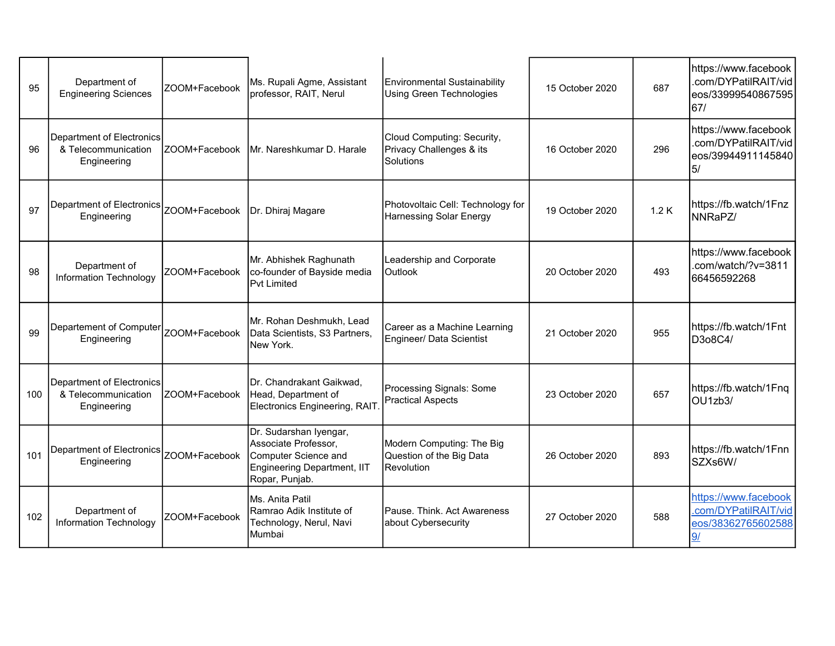| 95  | Department of<br><b>Engineering Sciences</b>                    | ZOOM+Facebook                     | Ms. Rupali Agme, Assistant<br>professor, RAIT, Nerul                                                                    | Environmental Sustainability<br><b>Using Green Technologies</b>     | 15 October 2020 | 687  | https://www.facebook<br>.com/DYPatilRAIT/vid<br>eos/33999540867595<br>67/ |
|-----|-----------------------------------------------------------------|-----------------------------------|-------------------------------------------------------------------------------------------------------------------------|---------------------------------------------------------------------|-----------------|------|---------------------------------------------------------------------------|
| 96  | Department of Electronics<br>& Telecommunication<br>Engineering | ZOOM+Facebook                     | Mr. Nareshkumar D. Harale                                                                                               | Cloud Computing: Security,<br>Privacy Challenges & its<br>Solutions | 16 October 2020 | 296  | https://www.facebook<br>.com/DYPatilRAIT/vid<br>eos/39944911145840<br>5/  |
| 97  | Department of Electronics<br>Engineering                        | ZOOM+Facebook   Dr. Dhiraj Magare |                                                                                                                         | Photovoltaic Cell: Technology for<br>Harnessing Solar Energy        | 19 October 2020 | 1.2K | https://fb.watch/1Fnz<br>INNRaPZ/                                         |
| 98  | Department of<br><b>Information Technology</b>                  | ZOOM+Facebook                     | Mr. Abhishek Raghunath<br>co-founder of Bayside media<br><b>Pvt Limited</b>                                             | Leadership and Corporate<br><b>Outlook</b>                          | 20 October 2020 | 493  | https://www.facebook<br>.com/watch/?v=3811<br>66456592268                 |
| 99  | Departement of Computer<br>Engineering                          | ZOOM+Facebook                     | Mr. Rohan Deshmukh, Lead<br>Data Scientists, S3 Partners,<br>New York.                                                  | Career as a Machine Learning<br>Engineer/ Data Scientist            | 21 October 2020 | 955  | https://fb.watch/1Fnt<br>D3o8C4/                                          |
| 100 | Department of Electronics<br>& Telecommunication<br>Engineering | ZOOM+Facebook                     | IDr. Chandrakant Gaikwad.<br>Head, Department of<br>Electronics Engineering, RAIT                                       | Processing Signals: Some<br><b>Practical Aspects</b>                | 23 October 2020 | 657  | https://fb.watch/1Fnq<br>OU1zb3/                                          |
| 101 | Department of Electronics<br>Engineering                        | ZOOM+Facebook                     | Dr. Sudarshan Iyengar,<br>Associate Professor,<br>Computer Science and<br>Engineering Department, IIT<br>Ropar, Punjab. | Modern Computing: The Big<br>Question of the Big Data<br>Revolution | 26 October 2020 | 893  | https://fb.watch/1Fnn<br>SZXs6W/                                          |
| 102 | Department of<br><b>Information Technology</b>                  | ZOOM+Facebook                     | Ms. Anita Patil<br>Ramrao Adik Institute of<br>Technology, Nerul, Navi<br>IMumbai                                       | Pause. Think. Act Awareness<br>about Cybersecurity                  | 27 October 2020 | 588  | https://www.facebook<br>.com/DYPatilRAIT/vid<br>eos/38362765602588        |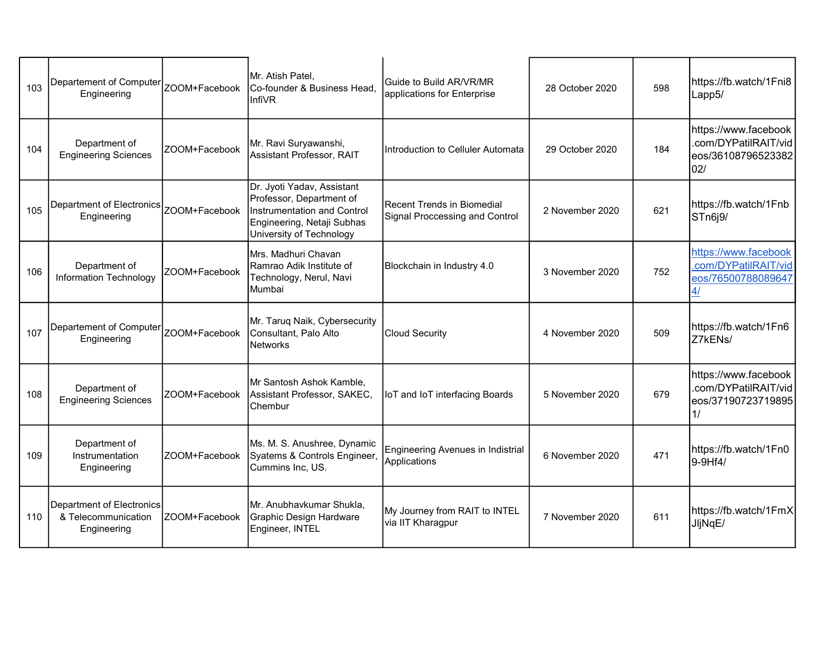| 103 | Departement of Computer<br>Engineering                          | ZOOM+Facebook | Mr. Atish Patel.<br>Co-founder & Business Head,<br><b>InfiVR</b>                                                                                | <b>I</b> Guide to Build AR/VR/MR<br>applications for Enterprise | 28 October 2020 | 598 | https://fb.watch/1Fni8<br>Lapp5/                                          |
|-----|-----------------------------------------------------------------|---------------|-------------------------------------------------------------------------------------------------------------------------------------------------|-----------------------------------------------------------------|-----------------|-----|---------------------------------------------------------------------------|
| 104 | Department of<br><b>Engineering Sciences</b>                    | ZOOM+Facebook | Mr. Ravi Suryawanshi,<br>Assistant Professor, RAIT                                                                                              | Introduction to Celluler Automata                               | 29 October 2020 | 184 | https://www.facebook<br>.com/DYPatilRAIT/vid<br>eos/36108796523382<br>02/ |
| 105 | Department of Electronics<br>Engineering                        | ZOOM+Facebook | Dr. Jyoti Yadav, Assistant<br>Professor, Department of<br>Instrumentation and Control<br>Engineering, Netaji Subhas<br>University of Technology | Recent Trends in Biomedial<br>Signal Proccessing and Control    | 2 November 2020 | 621 | https://fb.watch/1Fnb<br>STn6j9/                                          |
| 106 | Department of<br><b>Information Technology</b>                  | ZOOM+Facebook | Mrs. Madhuri Chavan<br>Ramrao Adik Institute of<br>Technology, Nerul, Navi<br>Mumbai                                                            | Blockchain in Industry 4.0                                      | 3 November 2020 | 752 | https://www.facebook<br>.com/DYPatilRAIT/vid<br>eos/76500788089647<br>4/  |
| 107 | Departement of Computer<br>Engineering                          | ZOOM+Facebook | Mr. Taruq Naik, Cybersecurity<br>Consultant, Palo Alto<br>Networks                                                                              | <b>Cloud Security</b>                                           | 4 November 2020 | 509 | https://fb.watch/1Fn6<br>Z7kENs/                                          |
| 108 | Department of<br><b>Engineering Sciences</b>                    | ZOOM+Facebook | Mr Santosh Ashok Kamble,<br>Assistant Professor, SAKEC,<br>Chembur                                                                              | IoT and IoT interfacing Boards                                  | 5 November 2020 | 679 | https://www.facebook<br>.com/DYPatilRAIT/vid<br>eos/37190723719895<br>1/  |
| 109 | Department of<br>Instrumentation<br>Engineering                 | ZOOM+Facebook | Ms. M. S. Anushree, Dynamic<br>Syatems & Controls Engineer,<br>Cummins Inc, US.                                                                 | <b>Engineering Avenues in Indistrial</b><br>Applications        | 6 November 2020 | 471 | https://fb.watch/1Fn0<br>9-9Hf4/                                          |
| 110 | Department of Electronics<br>& Telecommunication<br>Engineering | ZOOM+Facebook | Mr. Anubhavkumar Shukla,<br>Graphic Design Hardware<br>Engineer, INTEL                                                                          | My Journey from RAIT to INTEL<br>via IIT Kharagpur              | 7 November 2020 | 611 | https://fb.watch/1FmX<br>JljNqE/                                          |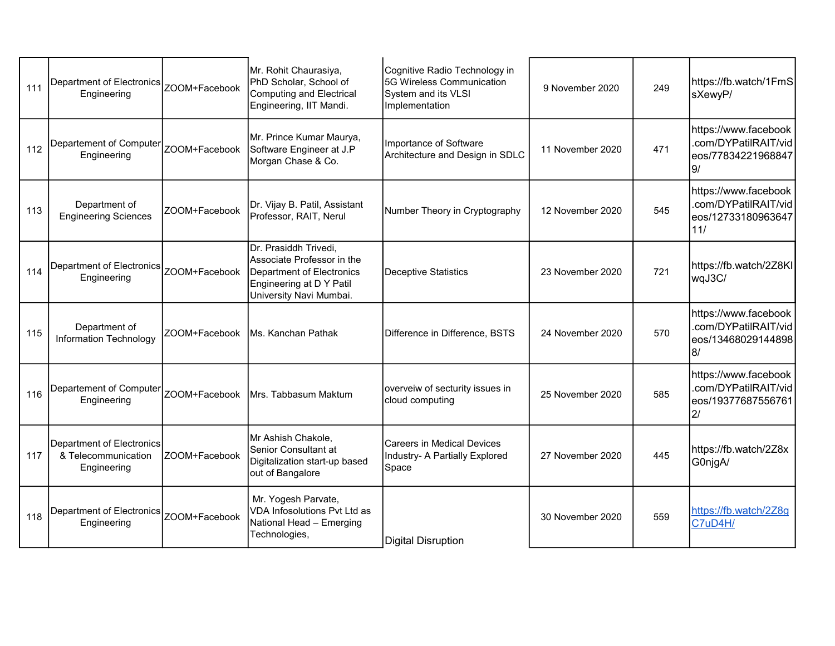| 111 | Department of Electronics   ZOOM+Facebook<br>Engineering        |               | Mr. Rohit Chaurasiya,<br>PhD Scholar, School of<br>Computing and Electrical<br>Engineering, IIT Mandi.                                  | Cognitive Radio Technology in<br>5G Wireless Communication<br>System and its VLSI<br>Implementation | 9 November 2020  | 249 | https://fb.watch/1FmS<br>sXewyP/                                          |
|-----|-----------------------------------------------------------------|---------------|-----------------------------------------------------------------------------------------------------------------------------------------|-----------------------------------------------------------------------------------------------------|------------------|-----|---------------------------------------------------------------------------|
| 112 | Departement of Computer<br>Engineering                          | ZOOM+Facebook | Mr. Prince Kumar Maurya,<br>Software Engineer at J.P<br>Morgan Chase & Co.                                                              | Importance of Software<br>Architecture and Design in SDLC                                           | 11 November 2020 | 471 | https://www.facebook<br>.com/DYPatilRAIT/vid<br>eos/77834221968847<br>9/  |
| 113 | Department of<br><b>Engineering Sciences</b>                    | ZOOM+Facebook | Dr. Vijay B. Patil, Assistant<br>Professor, RAIT, Nerul                                                                                 | Number Theory in Cryptography                                                                       | 12 November 2020 | 545 | https://www.facebook<br>.com/DYPatilRAIT/vid<br>eos/12733180963647<br>11/ |
| 114 | Department of Electronics<br>Engineering                        | ZOOM+Facebook | Dr. Prasiddh Trivedi,<br>Associate Professor in the<br>Department of Electronics<br>Engineering at D Y Patil<br>University Navi Mumbai. | Deceptive Statistics                                                                                | 23 November 2020 | 721 | https://fb.watch/2Z8KI<br>wqJ3C/                                          |
| 115 | Department of<br>Information Technology                         | ZOOM+Facebook | Ms. Kanchan Pathak                                                                                                                      | Difference in Difference, BSTS                                                                      | 24 November 2020 | 570 | https://www.facebook<br>.com/DYPatilRAIT/vid<br>eos/13468029144898<br>8/  |
| 116 | Departement of Computer<br>Engineering                          |               | ZOOM+Facebook   Mrs. Tabbasum Maktum                                                                                                    | overveiw of secturity issues in<br>cloud computing                                                  | 25 November 2020 | 585 | https://www.facebook<br>.com/DYPatilRAIT/vid<br>eos/19377687556761<br>2/  |
| 117 | Department of Electronics<br>& Telecommunication<br>Engineering | ZOOM+Facebook | Mr Ashish Chakole,<br>Senior Consultant at<br>Digitalization start-up based<br>out of Bangalore                                         | lCareers in Medical Devices<br>Industry- A Partially Explored<br>Space                              | 27 November 2020 | 445 | https://fb.watch/2Z8x<br>G0njgA/                                          |
| 118 | Department of Electronics<br>Engineering                        | ZOOM+Facebook | Mr. Yogesh Parvate,<br>VDA Infosolutions Pvt Ltd as<br>National Head - Emerging<br>Technologies,                                        | Digital Disruption                                                                                  | 30 November 2020 | 559 | https://fb.watch/2Z8g<br>C7uD4H/                                          |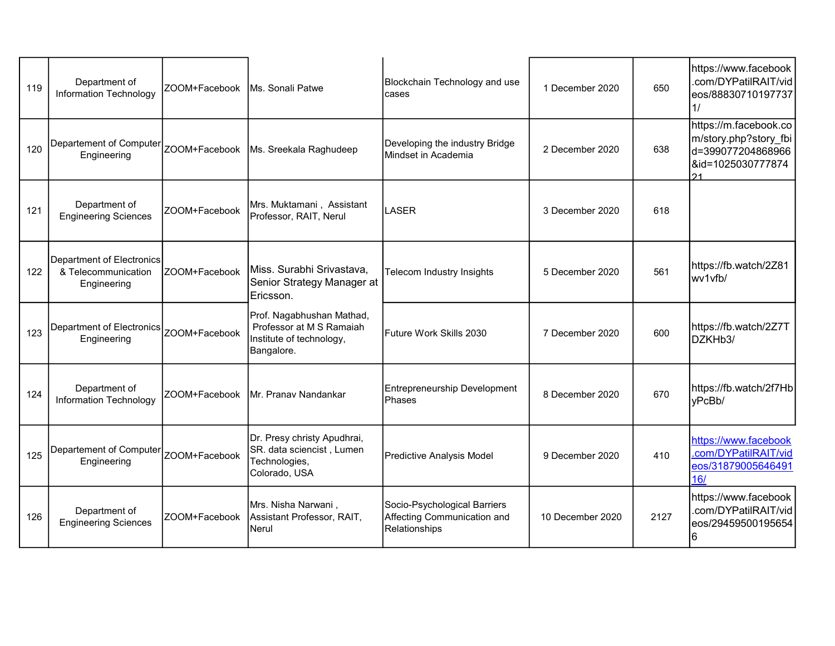| 119 | Department of<br><b>Information Technology</b>                  | ZOOM+Facebook Ms. Sonali Patwe |                                                                                                 | Blockchain Technology and use<br>cases                                       | 1 December 2020  | 650  | https://www.facebook<br>.com/DYPatilRAIT/vid<br>eos/88830710197737<br>11                       |
|-----|-----------------------------------------------------------------|--------------------------------|-------------------------------------------------------------------------------------------------|------------------------------------------------------------------------------|------------------|------|------------------------------------------------------------------------------------------------|
| 120 | Departement of Computer<br>Engineering                          |                                | ZOOM+Facebook   Ms. Sreekala Raghudeep                                                          | Developing the industry Bridge<br>Mindset in Academia                        | 2 December 2020  | 638  | https://m.facebook.co<br>m/story.php?story_fbi<br>d=399077204868966<br>&id=1025030777874<br>21 |
| 121 | Department of<br><b>Engineering Sciences</b>                    | ZOOM+Facebook                  | Mrs. Muktamani, Assistant<br>Professor, RAIT, Nerul                                             | LASER                                                                        | 3 December 2020  | 618  |                                                                                                |
| 122 | Department of Electronics<br>& Telecommunication<br>Engineering | ZOOM+Facebook                  | Miss. Surabhi Srivastava,<br>Senior Strategy Manager at<br>Ericsson.                            | <b>Telecom Industry Insights</b>                                             | 5 December 2020  | 561  | https://fb.watch/2Z81<br>wv1vfb/                                                               |
| 123 | Department of Electronics<br>Engineering                        | ZOOM+Facebook                  | Prof. Nagabhushan Mathad,<br>Professor at M S Ramaiah<br>Institute of technology,<br>Bangalore. | Future Work Skills 2030                                                      | 7 December 2020  | 600  | https://fb.watch/2Z7T<br>DZKHb3/                                                               |
| 124 | Department of<br><b>Information Technology</b>                  | ZOOM+Facebook                  | Mr. Pranav Nandankar                                                                            | Entrepreneurship Development<br>Phases                                       | 8 December 2020  | 670  | https://fb.watch/2f7Hb<br>yPcBb/                                                               |
| 125 | Departement of Computer<br>Engineering                          | ZOOM+Facebook                  | Dr. Presy christy Apudhrai,<br>SR. data sciencist, Lumen<br>Technologies,<br>Colorado, USA      | Predictive Analysis Model                                                    | 9 December 2020  | 410  | https://www.facebook<br>.com/DYPatilRAIT/vid<br>eos/31879005646491<br>16/                      |
| 126 | Department of<br><b>Engineering Sciences</b>                    | ZOOM+Facebook                  | Mrs. Nisha Narwani,<br>Assistant Professor, RAIT,<br>Nerul                                      | Socio-Psychological Barriers<br>Affecting Communication and<br>Relationships | 10 December 2020 | 2127 | https://www.facebook<br>.com/DYPatilRAIT/vid<br>eos/29459500195654<br>6                        |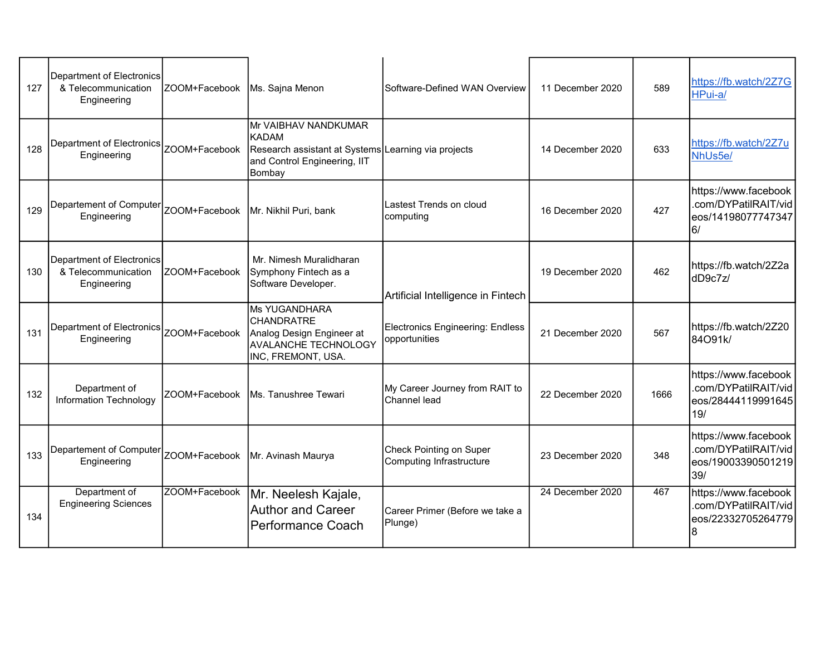| 127 | Department of Electronics<br>& Telecommunication<br>Engineering | ZOOM+Facebook  | Ms. Sajna Menon                                                                                                                       | Software-Defined WAN Overview                              | 11 December 2020 | 589  | https://fb.watch/2Z7G<br>HPui-a/                                          |
|-----|-----------------------------------------------------------------|----------------|---------------------------------------------------------------------------------------------------------------------------------------|------------------------------------------------------------|------------------|------|---------------------------------------------------------------------------|
| 128 | Department of Electronics<br>Engineering                        | ZOOM+Facebook  | Mr VAIBHAV NANDKUMAR<br><b>KADAM</b><br>Research assistant at Systems Learning via projects<br>and Control Engineering, IIT<br>Bombay |                                                            | 14 December 2020 | 633  | https://fb.watch/2Z7u<br>NhUs5e/                                          |
| 129 | Departement of Computer<br>Engineering                          | ZOOM+Facebook  | Mr. Nikhil Puri, bank                                                                                                                 | Lastest Trends on cloud<br>computing                       | 16 December 2020 | 427  | https://www.facebook<br>.com/DYPatilRAIT/vid<br>eos/14198077747347<br>6/  |
| 130 | Department of Electronics<br>& Telecommunication<br>Engineering | IZOOM+Facebook | Mr. Nimesh Muralidharan<br>Symphony Fintech as a<br>Software Developer.                                                               | Artificial Intelligence in Fintech                         | 19 December 2020 | 462  | https://fb.watch/2Z2a<br>dD9c7z/                                          |
| 131 | Department of Electronics<br>Engineering                        | ZOOM+Facebook  | Ms YUGANDHARA<br><b>CHANDRATRE</b><br>Analog Design Engineer at<br>AVALANCHE TECHNOLOGY<br>INC, FREMONT, USA.                         | <b>Electronics Engineering: Endless</b><br>opportunities   | 21 December 2020 | 567  | https://fb.watch/2Z20<br>84O91k/                                          |
| 132 | Department of<br><b>Information Technology</b>                  | ZOOM+Facebook  | Ms. Tanushree Tewari                                                                                                                  | My Career Journey from RAIT to<br>Channel lead             | 22 December 2020 | 1666 | https://www.facebook<br>.com/DYPatilRAIT/vid<br>eos/28444119991645<br>19/ |
| 133 | Departement of Computer<br>Engineering                          | ZOOM+Facebook  | Mr. Avinash Maurya                                                                                                                    | <b>Check Pointing on Super</b><br>Computing Infrastructure | 23 December 2020 | 348  | https://www.facebook<br>.com/DYPatilRAIT/vid<br>eos/19003390501219<br>39/ |
| 134 | Department of<br><b>Engineering Sciences</b>                    | ZOOM+Facebook  | Mr. Neelesh Kajale,<br><b>Author and Career</b><br><b>Performance Coach</b>                                                           | Career Primer (Before we take a<br>Plunge)                 | 24 December 2020 | 467  | https://www.facebook<br>.com/DYPatilRAIT/vid<br>eos/22332705264779        |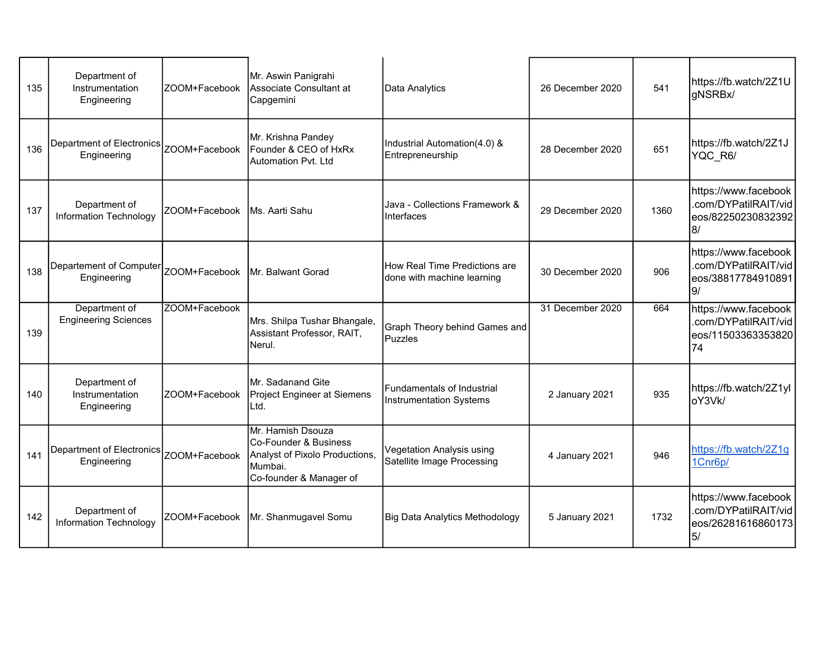| 135 | Department of<br>Instrumentation<br>Engineering          | ZOOM+Facebook | Mr. Aswin Panigrahi<br>Associate Consultant at<br>Capgemini                                                        | Data Analytics                                              | 26 December 2020 | 541  | https://fb.watch/2Z1U<br>gNSRBx/                                         |
|-----|----------------------------------------------------------|---------------|--------------------------------------------------------------------------------------------------------------------|-------------------------------------------------------------|------------------|------|--------------------------------------------------------------------------|
| 136 | Department of Electronics   ZOOM+Facebook<br>Engineering |               | Mr. Krishna Pandey<br>Founder & CEO of HxRx<br>Automation Pvt. Ltd                                                 | Industrial Automation(4.0) &<br>Entrepreneurship            | 28 December 2020 | 651  | https://fb.watch/2Z1J<br>YQC R6/                                         |
| 137 | Department of<br>Information Technology                  | ZOOM+Facebook | <b>IMs. Aarti Sahu</b>                                                                                             | Java - Collections Framework &<br>Interfaces                | 29 December 2020 | 1360 | https://www.facebook<br>.com/DYPatilRAIT/vid<br>eos/82250230832392<br>8/ |
| 138 | Departement of Computer<br>Engineering                   |               | ZOOM+Facebook   Mr. Balwant Gorad                                                                                  | How Real Time Predictions are<br>done with machine learning | 30 December 2020 | 906  | https://www.facebook<br>.com/DYPatilRAIT/vid<br>eos/38817784910891<br>9/ |
| 139 | Department of<br><b>Engineering Sciences</b>             | ZOOM+Facebook | Mrs. Shilpa Tushar Bhangale,<br>Assistant Professor, RAIT,<br>Nerul.                                               | <b>Graph Theory behind Games and</b><br>Puzzles             | 31 December 2020 | 664  | https://www.facebook<br>.com/DYPatilRAIT/vid<br>eos/11503363353820<br>74 |
| 140 | Department of<br>Instrumentation<br>Engineering          | ZOOM+Facebook | <b>IMr. Sadanand Gite</b><br>Project Engineer at Siemens<br>ILtd.                                                  | Fundamentals of Industrial<br>Instrumentation Systems       | 2 January 2021   | 935  | https://fb.watch/2Z1yl<br>oY3Vk/                                         |
| 141 | Department of Electronics ZOOM+Facebook<br>Engineering   |               | Mr. Hamish Dsouza<br>Co-Founder & Business<br>Analyst of Pixolo Productions,<br>Mumbai.<br>Co-founder & Manager of | Vegetation Analysis using<br>Satellite Image Processing     | 4 January 2021   | 946  | https://fb.watch/2Z1q<br>1Cnr6p/                                         |
| 142 | Department of<br><b>Information Technology</b>           | ZOOM+Facebook | Mr. Shanmugavel Somu                                                                                               | Big Data Analytics Methodology                              | 5 January 2021   | 1732 | https://www.facebook<br>.com/DYPatilRAIT/vid<br>eos/26281616860173<br>5/ |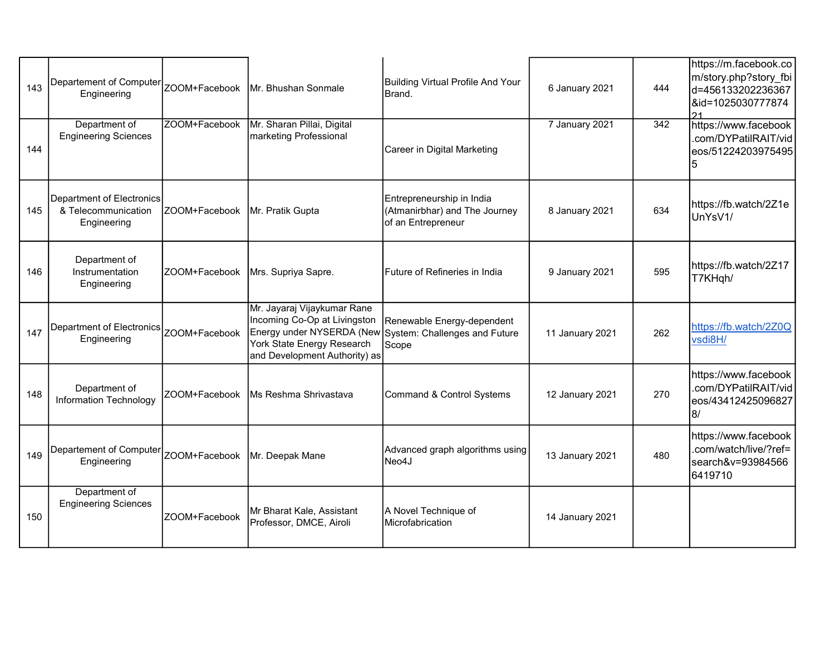| 143 | Departement of Computer<br>Engineering                          |                                  | ZOOM+Facebook   Mr. Bhushan Sonmale                                                                                        | Building Virtual Profile And Your<br>Brand.                                                    | 6 January 2021  | 444 | https://m.facebook.co<br>m/story.php?story_fbi<br>d=456133202236367<br>&id=1025030777874<br>21 |
|-----|-----------------------------------------------------------------|----------------------------------|----------------------------------------------------------------------------------------------------------------------------|------------------------------------------------------------------------------------------------|-----------------|-----|------------------------------------------------------------------------------------------------|
| 144 | Department of<br><b>Engineering Sciences</b>                    | ZOOM+Facebook                    | Mr. Sharan Pillai, Digital<br>marketing Professional                                                                       | Career in Digital Marketing                                                                    | 7 January 2021  | 342 | https://www.facebook<br>.com/DYPatilRAIT/vid<br>eos/51224203975495<br>5                        |
| 145 | Department of Electronics<br>& Telecommunication<br>Engineering | ZOOM+Facebook   Mr. Pratik Gupta |                                                                                                                            | Entrepreneurship in India<br>(Atmanirbhar) and The Journey<br>of an Entrepreneur               | 8 January 2021  | 634 | https://fb.watch/2Z1e<br>UnYsV1/                                                               |
| 146 | Department of<br>Instrumentation<br>Engineering                 |                                  | ZOOM+Facebook   Mrs. Supriya Sapre.                                                                                        | Future of Refineries in India                                                                  | 9 January 2021  | 595 | https://fb.watch/2Z17<br>T7KHqh/                                                               |
| 147 | Department of Electronics<br>Engineering                        | ZOOM+Facebook                    | Mr. Jayaraj Vijaykumar Rane<br>Incoming Co-Op at Livingston<br>York State Energy Research<br>and Development Authority) as | Renewable Energy-dependent<br>Energy under NYSERDA (New System: Challenges and Future<br>Scope | 11 January 2021 | 262 | https://fb.watch/2Z0Q<br>vsdi8H/                                                               |
| 148 | Department of<br>Information Technology                         | ZOOM+Facebook                    | <b>IMs Reshma Shrivastava</b>                                                                                              | Command & Control Systems                                                                      | 12 January 2021 | 270 | https://www.facebook<br>.com/DYPatilRAIT/vid<br>eos/43412425096827<br>8/                       |
| 149 | Departement of Computer<br>Engineering                          | ZOOM+Facebook   Mr. Deepak Mane  |                                                                                                                            | Advanced graph algorithms using<br>Neo4J                                                       | 13 January 2021 | 480 | https://www.facebook<br>.com/watch/live/?ref=<br>search&v=93984566<br>6419710                  |
| 150 | Department of<br><b>Engineering Sciences</b>                    | ZOOM+Facebook                    | Mr Bharat Kale, Assistant<br>Professor, DMCE, Airoli                                                                       | A Novel Technique of<br>Microfabrication                                                       | 14 January 2021 |     |                                                                                                |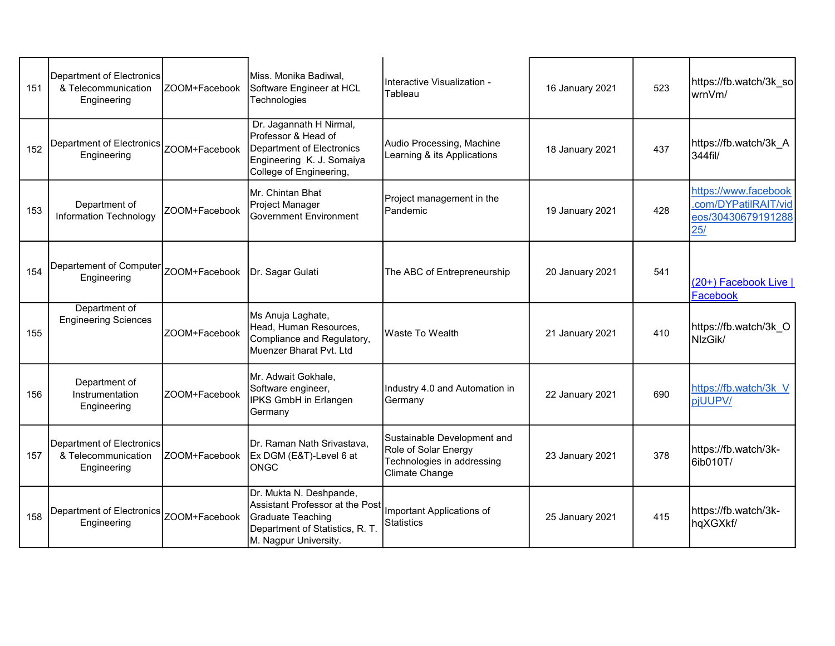| 151 | Department of Electronics<br>& Telecommunication<br>Engineering | IZOOM+Facebook | Miss. Monika Badiwal,<br>Software Engineer at HCL<br>Technologies                                                                                  | Interactive Visualization -<br>Tableau                                                              | 16 January 2021 | 523 | https://fb.watch/3k_so<br>wrnVm/                                          |
|-----|-----------------------------------------------------------------|----------------|----------------------------------------------------------------------------------------------------------------------------------------------------|-----------------------------------------------------------------------------------------------------|-----------------|-----|---------------------------------------------------------------------------|
| 152 | Department of Electronics<br>Engineering                        | ZOOM+Facebook  | Dr. Jagannath H Nirmal,<br>Professor & Head of<br><b>Department of Electronics</b><br>Engineering K. J. Somaiya<br>College of Engineering,         | Audio Processing, Machine<br>Learning & its Applications                                            | 18 January 2021 | 437 | https://fb.watch/3k_A<br>344fil/                                          |
| 153 | Department of<br>Information Technology                         | ZOOM+Facebook  | Mr. Chintan Bhat<br>Project Manager<br><b>Government Environment</b>                                                                               | Project management in the<br>Pandemic                                                               | 19 January 2021 | 428 | https://www.facebook<br>.com/DYPatilRAIT/vid<br>eos/30430679191288<br>25/ |
| 154 | Departement of Computer   ZOOM+Facebook<br>Engineering          |                | Dr. Sagar Gulati                                                                                                                                   | The ABC of Entrepreneurship                                                                         | 20 January 2021 | 541 | (20+) <b>Facebook Live</b>  <br>Facebook                                  |
| 155 | Department of<br><b>Engineering Sciences</b>                    | ZOOM+Facebook  | Ms Anuja Laghate,<br>Head, Human Resources,<br>Compliance and Regulatory,<br>Muenzer Bharat Pvt. Ltd                                               | <b>Waste To Wealth</b>                                                                              | 21 January 2021 | 410 | https://fb.watch/3k O<br>NIzGik/                                          |
| 156 | Department of<br>Instrumentation<br>Engineering                 | ZOOM+Facebook  | Mr. Adwait Gokhale,<br>Software engineer,<br>IPKS GmbH in Erlangen<br>Germany                                                                      | Industry 4.0 and Automation in<br>Germany                                                           | 22 January 2021 | 690 | https://fb.watch/3k V<br>pjUUPV/                                          |
| 157 | Department of Electronics<br>& Telecommunication<br>Engineering | ZOOM+Facebook  | Dr. Raman Nath Srivastava,<br>Ex DGM (E&T)-Level 6 at<br><b>ONGC</b>                                                                               | Sustainable Development and<br>Role of Solar Energy<br>Technologies in addressing<br>Climate Change | 23 January 2021 | 378 | https://fb.watch/3k-<br>6ib010T/                                          |
| 158 | Department of Electronics<br>Engineering                        | ZOOM+Facebook  | Dr. Mukta N. Deshpande,<br>Assistant Professor at the Post<br><b>Graduate Teaching</b><br>Department of Statistics, R. T.<br>M. Nagpur University. | Important Applications of<br><b>Statistics</b>                                                      | 25 January 2021 | 415 | https://fb.watch/3k-<br>hqXGXkf/                                          |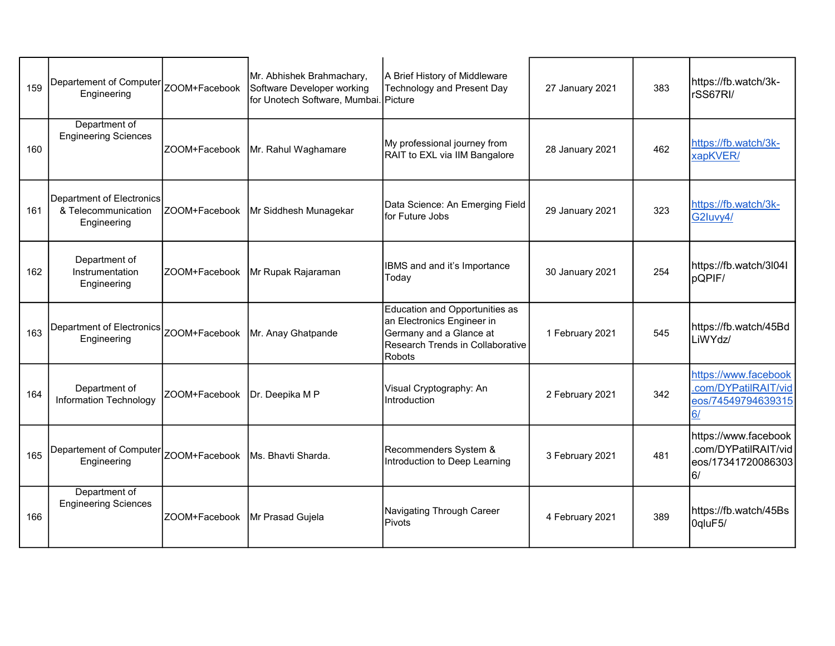| 159 | Departement of Computer<br>Engineering                          |                                    | Mr. Abhishek Brahmachary,<br>ZOOM+Facebook Software Developer working<br>for Unotech Software, Mumbai. Picture | A Brief History of Middleware<br>Technology and Present Day                                                                                  | 27 January 2021 | 383 | https://fb.watch/3k-<br>rSS67RI/                                         |
|-----|-----------------------------------------------------------------|------------------------------------|----------------------------------------------------------------------------------------------------------------|----------------------------------------------------------------------------------------------------------------------------------------------|-----------------|-----|--------------------------------------------------------------------------|
| 160 | Department of<br><b>Engineering Sciences</b>                    |                                    | ZOOM+Facebook   Mr. Rahul Waghamare                                                                            | My professional journey from<br>RAIT to EXL via IIM Bangalore                                                                                | 28 January 2021 | 462 | https://fb.watch/3k-<br>xapKVER/                                         |
| 161 | Department of Electronics<br>& Telecommunication<br>Engineering | ZOOM+Facebook                      | Mr Siddhesh Munagekar                                                                                          | Data Science: An Emerging Field<br>for Future Jobs                                                                                           | 29 January 2021 | 323 | https://fb.watch/3k-<br>G2Iuvy4/                                         |
| 162 | Department of<br>Instrumentation<br>Engineering                 |                                    | ZOOM+Facebook Mr Rupak Rajaraman                                                                               | IBMS and and it's Importance<br>Today                                                                                                        | 30 January 2021 | 254 | https://fb.watch/3l04l<br>pQPIF/                                         |
| 163 | Department of Electronics<br>Engineering                        | ZOOM+Facebook                      | Mr. Anay Ghatpande                                                                                             | Education and Opportunities as<br>an Electronics Engineer in<br>Germany and a Glance at<br><b>Research Trends in Collaborative</b><br>Robots | 1 February 2021 | 545 | https://fb.watch/45Bd<br>LiWYdz/                                         |
| 164 | Department of<br>Information Technology                         | ZOOM+Facebook                      | Dr. Deepika M P                                                                                                | Visual Cryptography: An<br>Introduction                                                                                                      | 2 February 2021 | 342 | https://www.facebook<br>.com/DYPatilRAIT/vid<br>eos/74549794639315<br>6/ |
| 165 | Departement of Computer<br>Engineering                          | ZOOM+Facebook   Ms. Bhavti Sharda. |                                                                                                                | Recommenders System &<br>Introduction to Deep Learning                                                                                       | 3 February 2021 | 481 | https://www.facebook<br>.com/DYPatilRAIT/vid<br>eos/17341720086303<br>6/ |
| 166 | Department of<br><b>Engineering Sciences</b>                    | ZOOM+Facebook   Mr Prasad Gujela   |                                                                                                                | Navigating Through Career<br>Pivots                                                                                                          | 4 February 2021 | 389 | https://fb.watch/45Bs<br>OqluF5/                                         |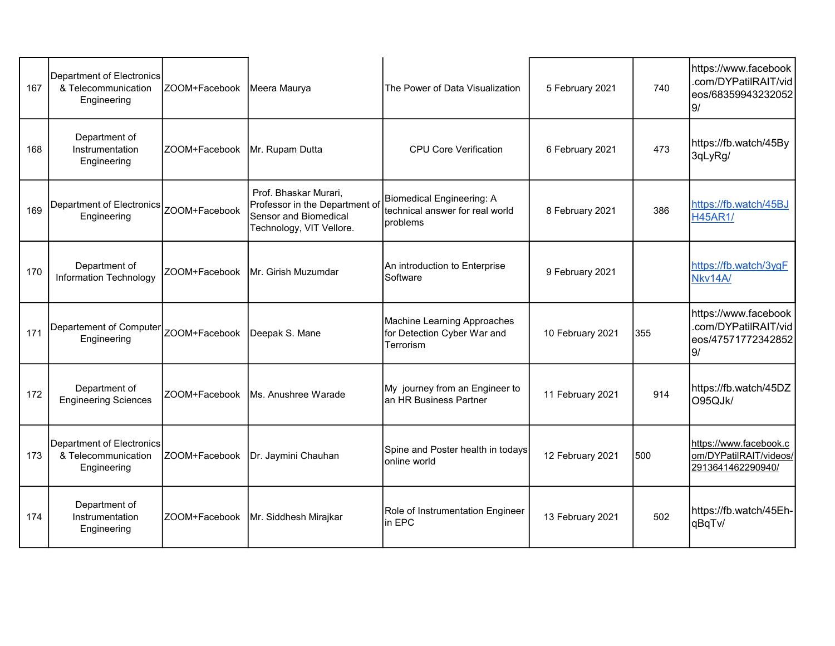| 167 | Department of Electronics<br>& Telecommunication<br>Engineering | ZOOM+Facebook Meera Maurya      |                                                                                                              | The Power of Data Visualization                                                   | 5 February 2021  | 740  | https://www.facebook<br>.com/DYPatilRAIT/vid<br>eos/68359943232052<br>9/ |
|-----|-----------------------------------------------------------------|---------------------------------|--------------------------------------------------------------------------------------------------------------|-----------------------------------------------------------------------------------|------------------|------|--------------------------------------------------------------------------|
| 168 | Department of<br>Instrumentation<br>Engineering                 | ZOOM+Facebook   Mr. Rupam Dutta |                                                                                                              | <b>CPU Core Verification</b>                                                      | 6 February 2021  | 473  | https://fb.watch/45By<br>3qLyRg/                                         |
| 169 | Department of Electronics   ZOOM+Facebook<br>Engineering        |                                 | Prof. Bhaskar Murari,<br>Professor in the Department of<br>Sensor and Biomedical<br>Technology, VIT Vellore. | Biomedical Engineering: A<br>technical answer for real world<br><b>I</b> problems | 8 February 2021  | 386  | https://fb.watch/45BJ<br><b>H45AR1/</b>                                  |
| 170 | Department of<br>Information Technology                         |                                 | ZOOM+Facebook   Mr. Girish Muzumdar                                                                          | An introduction to Enterprise<br>Software                                         | 9 February 2021  |      | https://fb.watch/3ygF<br>Nkv14A/                                         |
| 171 | Departement of Computer<br>Engineering                          | ZOOM+Facebook Deepak S. Mane    |                                                                                                              | Machine Learning Approaches<br>for Detection Cyber War and<br>Terrorism           | 10 February 2021 | 355  | https://www.facebook<br>.com/DYPatilRAIT/vid<br>eos/47571772342852<br>9/ |
| 172 | Department of<br><b>Engineering Sciences</b>                    | ZOOM+Facebook                   | Ms. Anushree Warade                                                                                          | My journey from an Engineer to<br>an HR Business Partner                          | 11 February 2021 | 914  | https://fb.watch/45DZ<br>O95QJk/                                         |
| 173 | Department of Electronics<br>& Telecommunication<br>Engineering |                                 | ZOOM+Facebook Dr. Jaymini Chauhan                                                                            | Spine and Poster health in todays<br>online world                                 | 12 February 2021 | l500 | https://www.facebook.c<br>om/DYPatilRAIT/videos/<br>2913641462290940/    |
| 174 | Department of<br>Instrumentation<br>Engineering                 |                                 | ZOOM+Facebook   Mr. Siddhesh Mirajkar                                                                        | Role of Instrumentation Engineer<br>in EPC                                        | 13 February 2021 | 502  | https://fb.watch/45Eh-<br>qBqTv/                                         |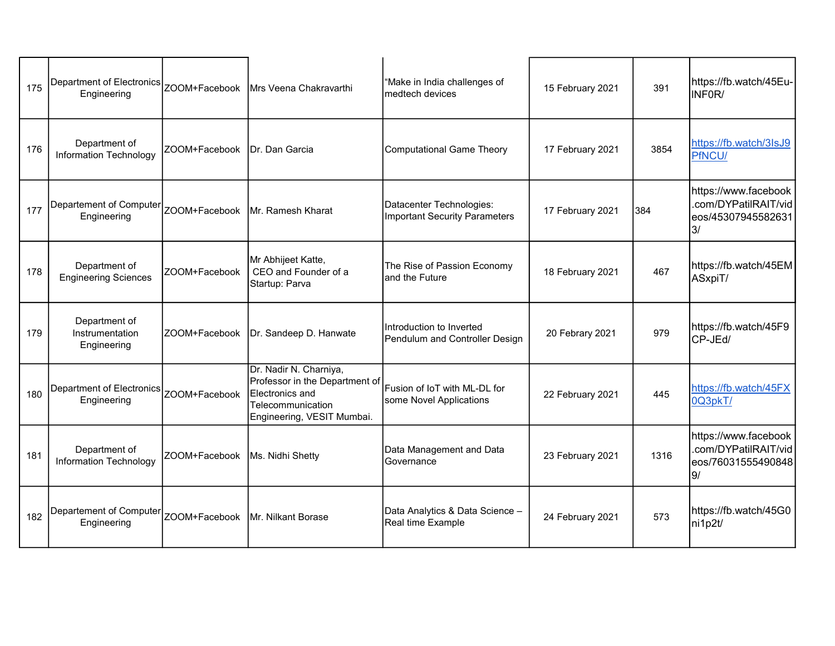| 175 | Department of Electronics<br>Engineering        |                               | ZOOM+Facebook   Mrs Veena Chakravarthi                                                                                         | "Make in India challenges of<br>medtech devices            | 15 February 2021 | 391  | https://fb.watch/45Eu-<br>INFOR/                                         |
|-----|-------------------------------------------------|-------------------------------|--------------------------------------------------------------------------------------------------------------------------------|------------------------------------------------------------|------------------|------|--------------------------------------------------------------------------|
| 176 | Department of<br><b>Information Technology</b>  | ZOOM+Facebook IDr. Dan Garcia |                                                                                                                                | Computational Game Theory                                  | 17 February 2021 | 3854 | https://fb.watch/3lsJ9<br>PfNCU/                                         |
| 177 | Departement of Computer<br>Engineering          |                               | ZOOM+Facebook   Mr. Ramesh Kharat                                                                                              | Datacenter Technologies:<br>Important Security Parameters  | 17 February 2021 | 384  | https://www.facebook<br>.com/DYPatilRAIT/vid<br>eos/45307945582631<br>3/ |
| 178 | Department of<br><b>Engineering Sciences</b>    | ZOOM+Facebook                 | Mr Abhijeet Katte,<br>CEO and Founder of a<br>Startup: Parva                                                                   | The Rise of Passion Economy<br>and the Future              | 18 February 2021 | 467  | https://fb.watch/45EM<br>ASxpiT/                                         |
| 179 | Department of<br>Instrumentation<br>Engineering | ZOOM+Facebook                 | Dr. Sandeep D. Hanwate                                                                                                         | Introduction to Inverted<br>Pendulum and Controller Design | 20 Febrary 2021  | 979  | https://fb.watch/45F9<br>CP-JEd/                                         |
| 180 | Department of Electronics<br>Engineering        | ZOOM+Facebook                 | Dr. Nadir N. Charniya,<br>Professor in the Department of<br>Electronics and<br>Telecommunication<br>Engineering, VESIT Mumbai. | Fusion of IoT with ML-DL for<br>some Novel Applications    | 22 February 2021 | 445  | https://fb.watch/45FX<br>0Q3pkT/                                         |
| 181 | Department of<br>Information Technology         | ZOOM+Facebook                 | Ms. Nidhi Shetty                                                                                                               | Data Management and Data<br>Governance                     | 23 February 2021 | 1316 | https://www.facebook<br>.com/DYPatilRAIT/vid<br>eos/76031555490848<br>9/ |
| 182 | Departement of Computer<br>Engineering          | ZOOM+Facebook                 | <b>IMr. Nilkant Borase</b>                                                                                                     | Data Analytics & Data Science -<br>Real time Example       | 24 February 2021 | 573  | https://fb.watch/45G0<br>ni1p2t/                                         |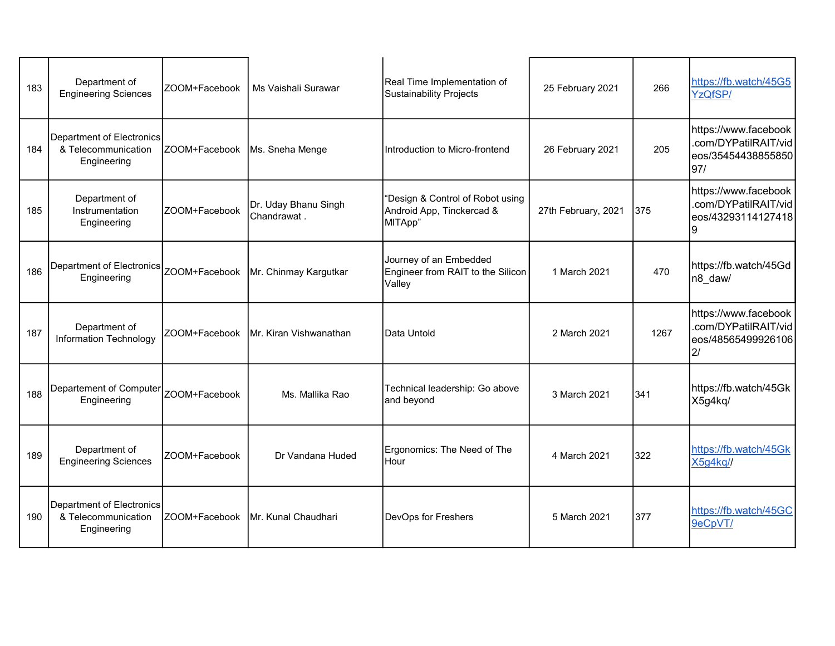| 183 | Department of<br><b>Engineering Sciences</b>                    | ZOOM+Facebook                   | Ms Vaishali Surawar                 | Real Time Implementation of<br>Sustainability Projects                   | 25 February 2021    | 266  | https://fb.watch/45G5<br>YzQfSP/                                          |
|-----|-----------------------------------------------------------------|---------------------------------|-------------------------------------|--------------------------------------------------------------------------|---------------------|------|---------------------------------------------------------------------------|
| 184 | Department of Electronics<br>& Telecommunication<br>Engineering | ZOOM+Facebook   Ms. Sneha Menge |                                     | Introduction to Micro-frontend                                           | 26 February 2021    | 205  | https://www.facebook<br>.com/DYPatilRAIT/vid<br>eos/35454438855850<br>97/ |
| 185 | Department of<br>Instrumentation<br>Engineering                 | ZOOM+Facebook                   | Dr. Uday Bhanu Singh<br>Chandrawat. | "Design & Control of Robot using<br>Android App, Tinckercad &<br>MITApp" | 27th February, 2021 | 375  | https://www.facebook<br>.com/DYPatilRAIT/vid<br>eos/43293114127418<br>9   |
| 186 | Department of Electronics ZOOM+Facebook<br>Engineering          |                                 | Mr. Chinmay Kargutkar               | Journey of an Embedded<br>Engineer from RAIT to the Silicon<br>Valley    | 1 March 2021        | 470  | https://fb.watch/45Gd<br>n8_daw/                                          |
| 187 | Department of<br>Information Technology                         | ZOOM+Facebook                   | <b>IMr. Kiran Vishwanathan</b>      | <b>IData Untold</b>                                                      | 2 March 2021        | 1267 | https://www.facebook<br>.com/DYPatilRAIT/vid<br>eos/48565499926106<br>2/  |
| 188 | Departement of Computer<br>Engineering                          | IZOOM+Facebook                  | Ms. Mallika Rao                     | Technical leadership: Go above<br>and beyond                             | 3 March 2021        | 341  | https://fb.watch/45Gk<br>X5g4kq/                                          |
| 189 | Department of<br><b>Engineering Sciences</b>                    | ZOOM+Facebook                   | Dr Vandana Huded                    | Ergonomics: The Need of The<br>Hour                                      | 4 March 2021        | 322  | https://fb.watch/45Gk<br>X5g4kq//                                         |
| 190 | Department of Electronics<br>& Telecommunication<br>Engineering | ZOOM+Facebook                   | IMr. Kunal Chaudhari                | DevOps for Freshers                                                      | 5 March 2021        | 377  | https://fb.watch/45GC<br>9eCpVT/                                          |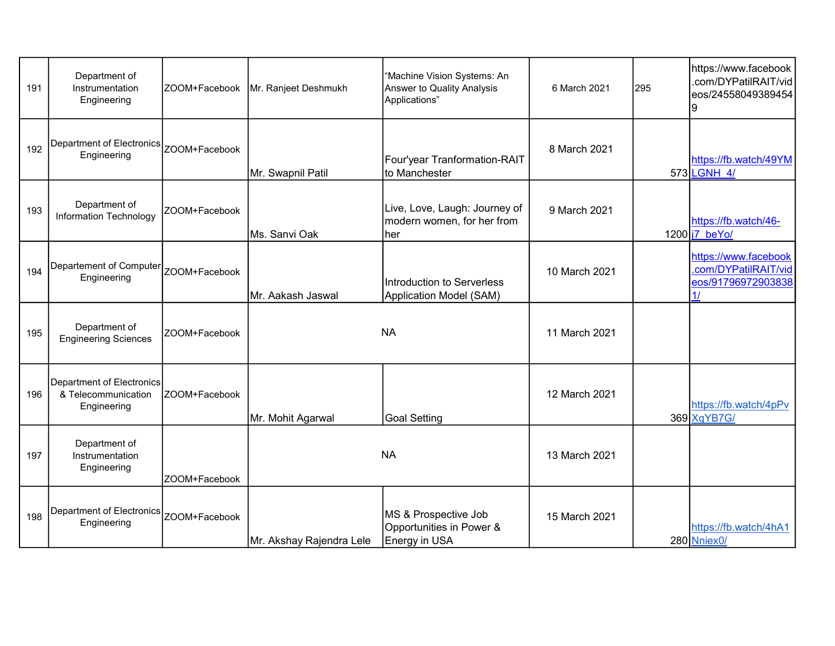| 191 | Department of<br>Instrumentation<br>Engineering                        | ZOOM+Facebook | Mr. Ranjeet Deshmukh     | "Machine Vision Systems: An<br>Answer to Quality Analysis<br>Applications" | 6 March 2021  | 295 | https://www.facebook<br>.com/DYPatilRAIT/vid<br>eos/24558049389454<br>9  |
|-----|------------------------------------------------------------------------|---------------|--------------------------|----------------------------------------------------------------------------|---------------|-----|--------------------------------------------------------------------------|
| 192 | <b>Department of Electronics</b><br>Engineering                        | ZOOM+Facebook | Mr. Swapnil Patil        | Four'year Tranformation-RAIT<br>to Manchester                              | 8 March 2021  |     | https://fb.watch/49YM<br>573 LGNH 4/                                     |
| 193 | Department of<br>Information Technology                                | ZOOM+Facebook | Ms. Sanvi Oak            | Live, Love, Laugh: Journey of<br>modern women, for her from<br>her         | 9 March 2021  |     | https://fb.watch/46-<br>$1200$  j7 beYo/                                 |
| 194 | Departement of Computer<br>Engineering                                 | ZOOM+Facebook | Mr. Aakash Jaswal        | Introduction to Serverless<br>Application Model (SAM)                      | 10 March 2021 |     | https://www.facebook<br>.com/DYPatilRAIT/vid<br>eos/91796972903838<br>1/ |
| 195 | Department of<br><b>Engineering Sciences</b>                           | ZOOM+Facebook |                          | <b>NA</b>                                                                  | 11 March 2021 |     |                                                                          |
| 196 | <b>Department of Electronics</b><br>& Telecommunication<br>Engineering | ZOOM+Facebook | Mr. Mohit Agarwal        | <b>Goal Setting</b>                                                        | 12 March 2021 |     | https://fb.watch/4pPv<br>369 XqYB7G/                                     |
| 197 | Department of<br>Instrumentation<br>Engineering                        | ZOOM+Facebook |                          | <b>NA</b>                                                                  | 13 March 2021 |     |                                                                          |
| 198 | Department of Electronics<br>Engineering                               | ZOOM+Facebook | Mr. Akshay Rajendra Lele | MS & Prospective Job<br>Opportunities in Power &<br>Energy in USA          | 15 March 2021 |     | https://fb.watch/4hA1<br>280 Nniex0/                                     |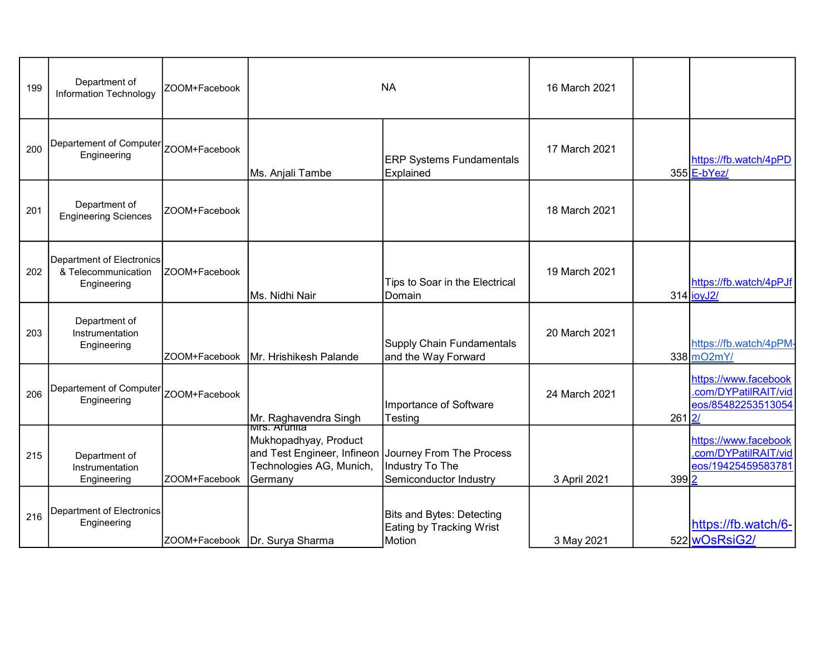| 199 | Department of<br><b>Information Technology</b>                  | ZOOM+Facebook |                                                                                                                      | <b>NA</b>                                                       | 16 March 2021 |       |                                                                          |
|-----|-----------------------------------------------------------------|---------------|----------------------------------------------------------------------------------------------------------------------|-----------------------------------------------------------------|---------------|-------|--------------------------------------------------------------------------|
| 200 | Departement of Computer<br>Engineering                          | ZOOM+Facebook | Ms. Anjali Tambe                                                                                                     | <b>ERP Systems Fundamentals</b><br>Explained                    | 17 March 2021 |       | https://fb.watch/4pPD<br>355 E-bYez/                                     |
| 201 | Department of<br><b>Engineering Sciences</b>                    | ZOOM+Facebook |                                                                                                                      |                                                                 | 18 March 2021 |       |                                                                          |
| 202 | Department of Electronics<br>& Telecommunication<br>Engineering | ZOOM+Facebook | Ms. Nidhi Nair                                                                                                       | Tips to Soar in the Electrical<br>Domain                        | 19 March 2021 |       | https://fb.watch/4pPJf<br>314 joyJ2/                                     |
| 203 | Department of<br>Instrumentation<br>Engineering                 | ZOOM+Facebook | Mr. Hrishikesh Palande                                                                                               | Supply Chain Fundamentals<br>and the Way Forward                | 20 March 2021 |       | https://fb.watch/4pPM-<br>338 mO2mY/                                     |
| 206 | Departement of Computer<br>Engineering                          | ZOOM+Facebook | Mr. Raghavendra Singh                                                                                                | Importance of Software<br>Testing                               | 24 March 2021 | 261   | https://www.facebook<br>.com/DYPatilRAIT/vid<br>eos/85482253513054<br>2/ |
| 215 | Department of<br>Instrumentation<br>Engineering                 | ZOOM+Facebook | Mukhopadhyay, Product<br>and Test Engineer, Infineon Journey From The Process<br>Technologies AG, Munich,<br>Germany | Industry To The<br>Semiconductor Industry                       | 3 April 2021  | 399 2 | https://www.facebook<br>.com/DYPatilRAIT/vid<br>eos/19425459583781       |
| 216 | Department of Electronics<br>Engineering                        |               | ZOOM+Facebook   Dr. Surya Sharma                                                                                     | Bits and Bytes: Detecting<br>Eating by Tracking Wrist<br>Motion | 3 May 2021    |       | https://fb.watch/6-<br>522 wOsRsiG2/                                     |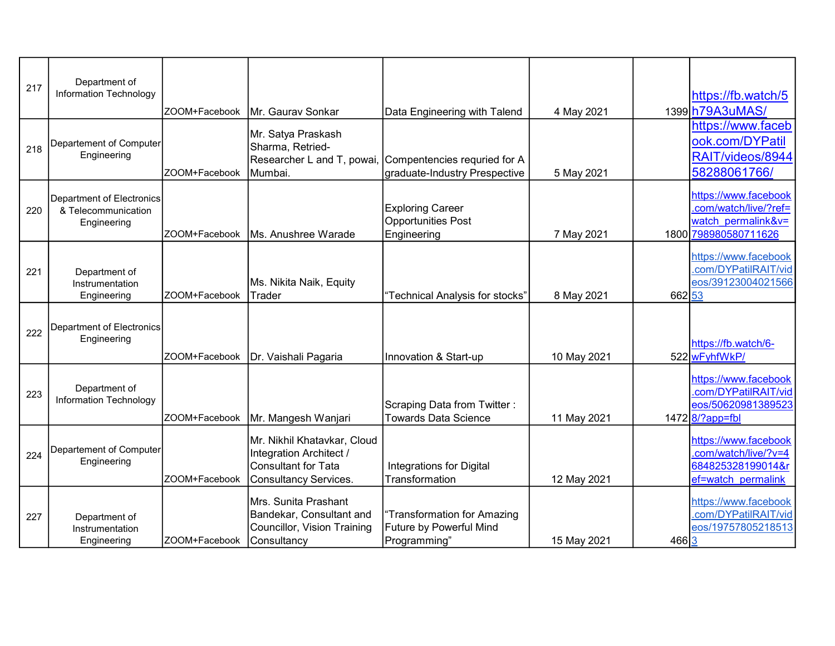| 217 | Department of<br>Information Technology                         | ZOOM+Facebook | Mr. Gaurav Sonkar                                                                                             | Data Engineering with Talend                                           | 4 May 2021  |        | https://fb.watch/5<br>1399 h79A3uMAS/                                                      |
|-----|-----------------------------------------------------------------|---------------|---------------------------------------------------------------------------------------------------------------|------------------------------------------------------------------------|-------------|--------|--------------------------------------------------------------------------------------------|
| 218 | Departement of Computer<br>Engineering                          | ZOOM+Facebook | Mr. Satya Praskash<br>Sharma, Retried-<br>Researcher L and T, powai,<br>Mumbai.                               | Compentencies requried for A<br>graduate-Industry Prespective          | 5 May 2021  |        | https://www.faceb<br>ook.com/DYPatil<br>RAIT/videos/8944<br>58288061766/                   |
| 220 | Department of Electronics<br>& Telecommunication<br>Engineering | ZOOM+Facebook | Ms. Anushree Warade                                                                                           | <b>Exploring Career</b><br><b>Opportunities Post</b><br>Engineering    | 7 May 2021  |        | https://www.facebook<br>com/watch/live/?ref=<br>watch permalink&v=<br>1800 798980580711626 |
| 221 | Department of<br>Instrumentation<br>Engineering                 | ZOOM+Facebook | Ms. Nikita Naik, Equity<br>Trader                                                                             | 'Technical Analysis for stocks"                                        | 8 May 2021  | 662 53 | https://www.facebook<br>.com/DYPatilRAIT/vid<br>eos/39123004021566                         |
| 222 | Department of Electronics<br>Engineering                        | ZOOM+Facebook | Dr. Vaishali Pagaria                                                                                          | Innovation & Start-up                                                  | 10 May 2021 |        | https://fb.watch/6-<br>522 wFyhfWkP/                                                       |
| 223 | Department of<br>Information Technology                         | ZOOM+Facebook | Mr. Mangesh Wanjari                                                                                           | Scraping Data from Twitter:<br><b>Towards Data Science</b>             | 11 May 2021 |        | https://www.facebook<br>.com/DYPatilRAIT/vid<br>eos/50620981389523<br>1472 8/?app=fbl      |
| 224 | Departement of Computer<br>Engineering                          | ZOOM+Facebook | Mr. Nikhil Khatavkar, Cloud<br>Integration Architect /<br><b>Consultant for Tata</b><br>Consultancy Services. | <b>Integrations for Digital</b><br>Transformation                      | 12 May 2021 |        | https://www.facebook<br>.com/watch/live/?v=4<br>684825328199014&r<br>ef=watch permalink    |
| 227 | Department of<br>Instrumentation<br>Engineering                 | ZOOM+Facebook | Mrs. Sunita Prashant<br>Bandekar, Consultant and<br>Councillor, Vision Training<br>Consultancy                | "Transformation for Amazing<br>Future by Powerful Mind<br>Programming" | 15 May 2021 | 466 3  | https://www.facebook<br>.com/DYPatilRAIT/vid<br>eos/19757805218513                         |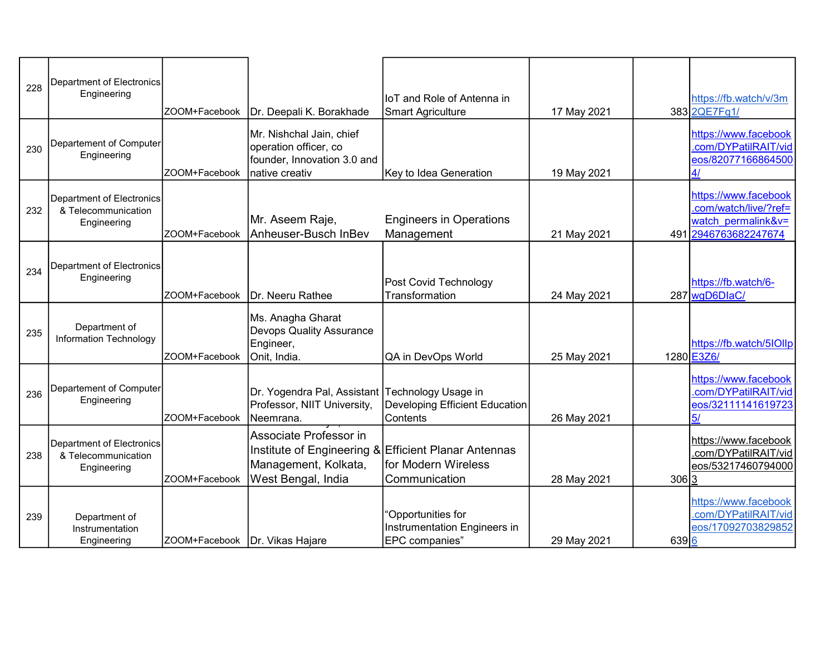| 228 | Department of Electronics<br>Engineering                        | ZOOM+Facebook                  | Dr. Deepali K. Borakhade                                                                           | <b>IoT</b> and Role of Antenna in<br><b>Smart Agriculture</b>                                | 17 May 2021 |       | https://fb.watch/v/3m<br>383 2QE7Fq1/                                                       |
|-----|-----------------------------------------------------------------|--------------------------------|----------------------------------------------------------------------------------------------------|----------------------------------------------------------------------------------------------|-------------|-------|---------------------------------------------------------------------------------------------|
| 230 | Departement of Computer<br>Engineering                          | ZOOM+Facebook                  | Mr. Nishchal Jain, chief<br>operation officer, co<br>founder, Innovation 3.0 and<br>native creativ | Key to Idea Generation                                                                       | 19 May 2021 |       | https://www.facebook<br>.com/DYPatilRAIT/vid<br>eos/82077166864500<br>4/                    |
| 232 | Department of Electronics<br>& Telecommunication<br>Engineering | ZOOM+Facebook                  | Mr. Aseem Raje,<br>Anheuser-Busch InBev                                                            | <b>Engineers in Operations</b><br>Management                                                 | 21 May 2021 |       | https://www.facebook<br>.com/watch/live/?ref=<br>watch permalink&v=<br>491 2946763682247674 |
| 234 | Department of Electronics<br>Engineering                        | ZOOM+Facebook                  | Dr. Neeru Rathee                                                                                   | Post Covid Technology<br>Transformation                                                      | 24 May 2021 |       | https://fb.watch/6-<br>287 wgD6DlaC/                                                        |
| 235 | Department of<br>Information Technology                         | ZOOM+Facebook                  | Ms. Anagha Gharat<br><b>Devops Quality Assurance</b><br>Engineer,<br>Onit, India.                  | QA in DevOps World                                                                           | 25 May 2021 |       | https://fb.watch/5lOllp<br>1280 E3Z6/                                                       |
| 236 | Departement of Computer<br>Engineering                          | ZOOM+Facebook                  | Dr. Yogendra Pal, Assistant Technology Usage in<br>Professor, NIIT University,<br>Neemrana.        | Developing Efficient Education<br>Contents                                                   | 26 May 2021 |       | https://www.facebook<br>.com/DYPatilRAIT/vid<br>eos/32111141619723<br>5/                    |
| 238 | Department of Electronics<br>& Telecommunication<br>Engineering | ZOOM+Facebook                  | Associate Professor in<br>Management, Kolkata,<br>West Bengal, India                               | Institute of Engineering & Efficient Planar Antennas<br>for Modern Wireless<br>Communication | 28 May 2021 | 306 3 | https://www.facebook<br>.com/DYPatilRAIT/vid<br>eos/53217460794000                          |
| 239 | Department of<br>Instrumentation<br>Engineering                 | ZOOM+Facebook Dr. Vikas Hajare |                                                                                                    | "Opportunities for<br>Instrumentation Engineers in<br>EPC companies"                         | 29 May 2021 | 639 6 | https://www.facebook<br>.com/DYPatilRAIT/vid<br>eos/17092703829852                          |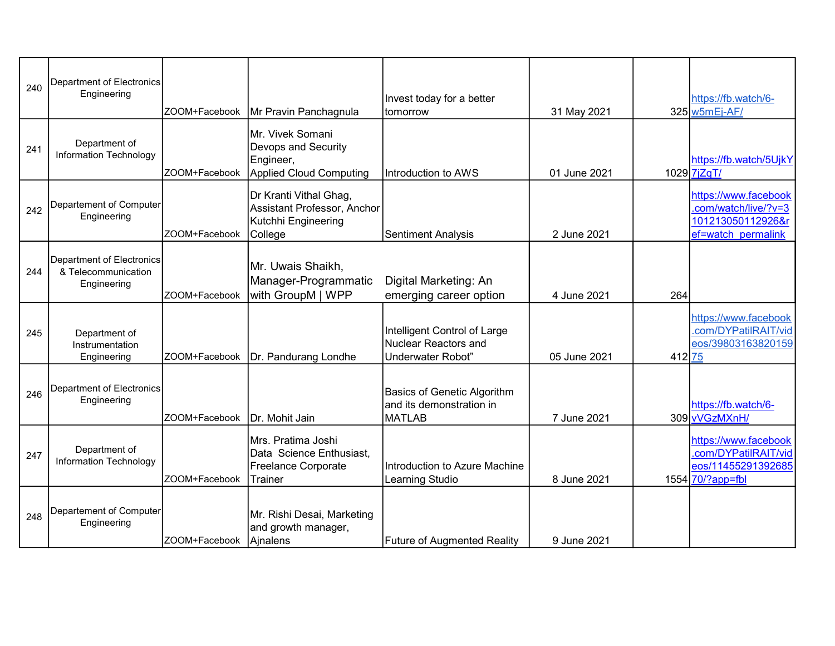| 240 | Department of Electronics<br>Engineering                        | ZOOM+Facebook | Mr Pravin Panchagnula                                                                     | Invest today for a better<br>Itomorrow                                    | 31 May 2021  |        | https://fb.watch/6-<br>325 w5mEj-AF/                                                    |
|-----|-----------------------------------------------------------------|---------------|-------------------------------------------------------------------------------------------|---------------------------------------------------------------------------|--------------|--------|-----------------------------------------------------------------------------------------|
| 241 | Department of<br>Information Technology                         | ZOOM+Facebook | İMr. Vivek Somani<br>Devops and Security<br>Engineer,<br>Applied Cloud Computing          | Introduction to AWS                                                       | 01 June 2021 |        | https://fb.watch/5UjkY<br>1029 7jZqT/                                                   |
| 242 | Departement of Computer<br>Engineering                          | ZOOM+Facebook | Dr Kranti Vithal Ghag,<br>Assistant Professor, Anchor<br>Kutchhi Engineering<br>College   | <b>Sentiment Analysis</b>                                                 | 2 June 2021  |        | https://www.facebook<br>.com/watch/live/?v=3<br>101213050112926&r<br>ef=watch permalink |
| 244 | Department of Electronics<br>& Telecommunication<br>Engineering | ZOOM+Facebook | Mr. Uwais Shaikh,<br>Manager-Programmatic<br>with GroupM   WPP                            | Digital Marketing: An<br>emerging career option                           | 4 June 2021  | 264    |                                                                                         |
| 245 | Department of<br>Instrumentation<br>Engineering                 | ZOOM+Facebook | Dr. Pandurang Londhe                                                                      | Intelligent Control of Large<br>Nuclear Reactors and<br>Underwater Robot" | 05 June 2021 | 412 75 | https://www.facebook<br>.com/DYPatilRAIT/vid<br>eos/39803163820159                      |
| 246 | Department of Electronics<br>Engineering                        | ZOOM+Facebook | Dr. Mohit Jain                                                                            | Basics of Genetic Algorithm<br>land its demonstration in<br>MATLAB        | 7 June 2021  |        | https://fb.watch/6-<br>309 vVGzMXnH/                                                    |
| 247 | Department of<br>Information Technology                         | ZOOM+Facebook | İMrs. Pratima Joshi<br>Data Science Enthusiast,<br>Freelance Corporate<br><b>ITrainer</b> | Introduction to Azure Machine<br>Learning Studio                          | 8 June 2021  |        | https://www.facebook<br>.com/DYPatilRAIT/vid<br>eos/11455291392685<br>1554 70/?app=fbl  |
| 248 | Departement of Computer<br>Engineering                          | ZOOM+Facebook | Mr. Rishi Desai, Marketing<br>and growth manager,<br>Ainalens                             | <b>Future of Augmented Reality</b>                                        | 9 June 2021  |        |                                                                                         |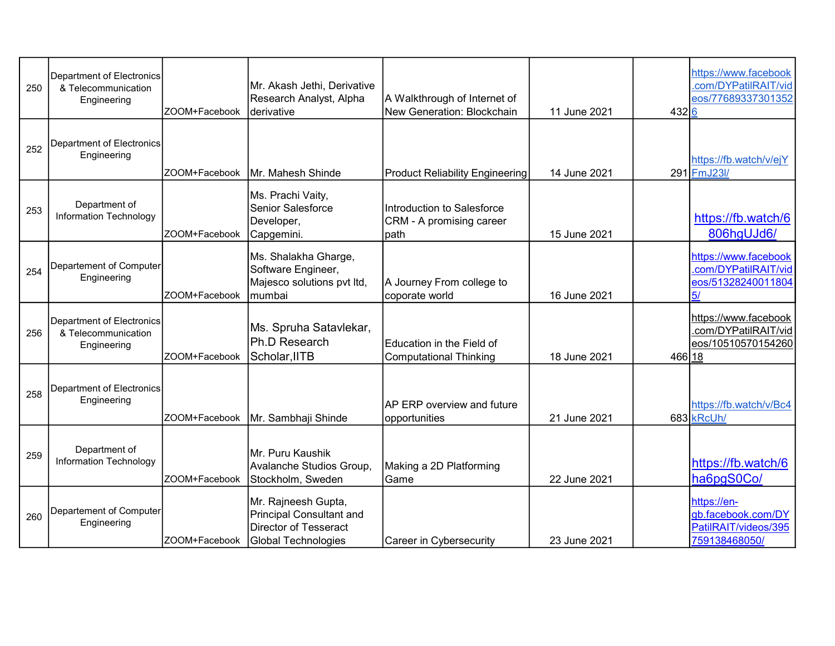| 250 | Department of Electronics<br>& Telecommunication<br>Engineering        | ZOOM+Facebook | Mr. Akash Jethi, Derivative<br>Research Analyst, Alpha<br>derivative                                          | A Walkthrough of Internet of<br>New Generation: Blockchain     | 11 June 2021 | 432 6  | https://www.facebook<br>.com/DYPatilRAIT/vid<br>eos/77689337301352         |
|-----|------------------------------------------------------------------------|---------------|---------------------------------------------------------------------------------------------------------------|----------------------------------------------------------------|--------------|--------|----------------------------------------------------------------------------|
| 252 | <b>Department of Electronics</b><br>Engineering                        | ZOOM+Facebook | Mr. Mahesh Shinde                                                                                             | <b>Product Reliability Engineering</b>                         | 14 June 2021 |        | https://fb.watch/v/ejY<br>291 FmJ23I/                                      |
| 253 | Department of<br>Information Technology                                | ZOOM+Facebook | Ms. Prachi Vaity,<br><b>Senior Salesforce</b><br>Developer,<br>Capgemini.                                     | Introduction to Salesforce<br>CRM - A promising career<br>path | 15 June 2021 |        | https://fb.watch/6<br>806hgUJd6/                                           |
| 254 | Departement of Computer<br>Engineering                                 | ZOOM+Facebook | Ms. Shalakha Gharge,<br>Software Engineer,<br>Majesco solutions pvt Itd,<br>mumbai                            | A Journey From college to<br>coporate world                    | 16 June 2021 |        | https://www.facebook<br>.com/DYPatilRAIT/vid<br>eos/51328240011804<br>5/   |
| 256 | <b>Department of Electronics</b><br>& Telecommunication<br>Engineering | ZOOM+Facebook | Ms. Spruha Satavlekar,<br>Ph.D Research<br>Scholar,IITB                                                       | Education in the Field of<br><b>Computational Thinking</b>     | 18 June 2021 | 466 18 | https://www.facebook<br>.com/DYPatilRAIT/vid<br>eos/10510570154260         |
| 258 | Department of Electronics<br>Engineering                               | ZOOM+Facebook | Mr. Sambhaji Shinde                                                                                           | AP ERP overview and future<br>opportunities                    | 21 June 2021 |        | https://fb.watch/v/Bc4<br>683 kRcUh/                                       |
| 259 | Department of<br><b>Information Technology</b>                         | ZOOM+Facebook | Mr. Puru Kaushik<br>Avalanche Studios Group,<br>Stockholm, Sweden                                             | Making a 2D Platforming<br>Game                                | 22 June 2021 |        | https://fb.watch/6<br>ha6pgS0Co/                                           |
| 260 | Departement of Computer<br>Engineering                                 | ZOOM+Facebook | Mr. Rajneesh Gupta,<br><b>Principal Consultant and</b><br><b>Director of Tesseract</b><br>Global Technologies | Career in Cybersecurity                                        | 23 June 2021 |        | https://en-<br>gb.facebook.com/DY<br>PatilRAIT/videos/395<br>759138468050/ |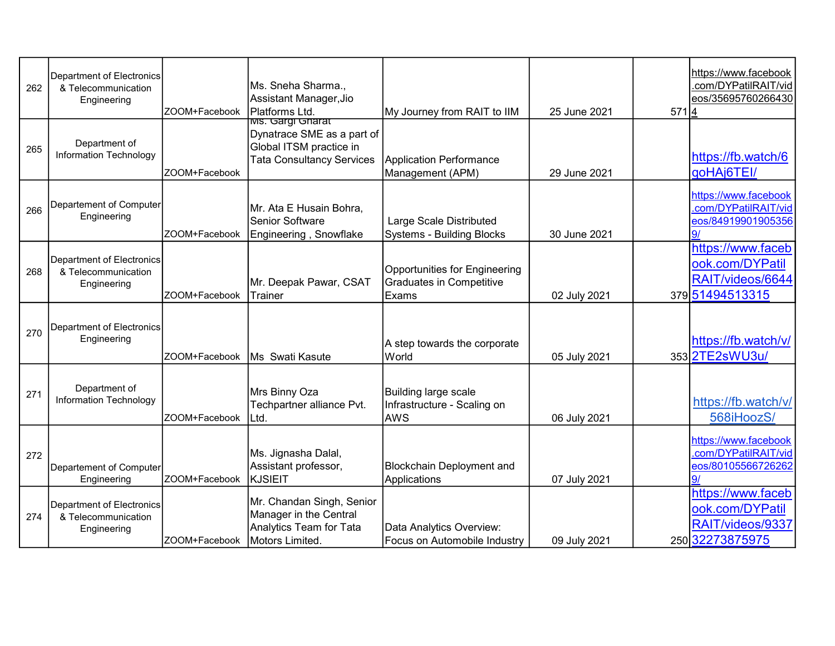| 262 | Department of Electronics<br>& Telecommunication<br>Engineering        | ZOOM+Facebook | Ms. Sneha Sharma.,<br>Assistant Manager, Jio<br>Platforms Ltd.                                                        | My Journey from RAIT to IIM                                               | 25 June 2021 | 571 4 | https://www.facebook<br>.com/DYPatilRAIT/vid<br>eos/35695760266430          |
|-----|------------------------------------------------------------------------|---------------|-----------------------------------------------------------------------------------------------------------------------|---------------------------------------------------------------------------|--------------|-------|-----------------------------------------------------------------------------|
| 265 | Department of<br>Information Technology                                | ZOOM+Facebook | <u>iws. Gargi Gharat</u><br>Dynatrace SME as a part of<br>Global ITSM practice in<br><b>Tata Consultancy Services</b> | <b>Application Performance</b><br>Management (APM)                        | 29 June 2021 |       | https://fb.watch/6<br>qoHAj6TEI/                                            |
| 266 | Departement of Computer<br>Engineering                                 | ZOOM+Facebook | Mr. Ata E Husain Bohra,<br><b>Senior Software</b><br>Engineering, Snowflake                                           | Large Scale Distributed<br><b>Systems - Building Blocks</b>               | 30 June 2021 |       | https://www.facebook<br>.com/DYPatilRAIT/vid<br>eos/84919901905356          |
| 268 | Department of Electronics<br>& Telecommunication<br>Engineering        | ZOOM+Facebook | Mr. Deepak Pawar, CSAT<br>Trainer                                                                                     | Opportunities for Engineering<br><b>Graduates in Competitive</b><br>Exams | 02 July 2021 |       | https://www.faceb<br>ook.com/DYPatil<br>RAIT/videos/6644<br>379 51494513315 |
| 270 | Department of Electronics<br>Engineering                               | ZOOM+Facebook | Ms Swati Kasute                                                                                                       | A step towards the corporate<br>World                                     | 05 July 2021 |       | https://fb.watch/v/<br>353 2TE2sWU3u/                                       |
| 271 | Department of<br>Information Technology                                | ZOOM+Facebook | Mrs Binny Oza<br>Techpartner alliance Pvt.<br>Ltd.                                                                    | Building large scale<br>Infrastructure - Scaling on<br><b>AWS</b>         | 06 July 2021 |       | https://fb.watch/v/<br>568iHoozS/                                           |
| 272 | Departement of Computer<br>Engineering                                 | ZOOM+Facebook | Ms. Jignasha Dalal,<br>Assistant professor,<br>KJSIEIT                                                                | <b>Blockchain Deployment and</b><br>Applications                          | 07 July 2021 |       | https://www.facebook<br>.com/DYPatilRAIT/vid<br>eos/80105566726262<br>9/    |
| 274 | <b>Department of Electronics</b><br>& Telecommunication<br>Engineering | ZOOM+Facebook | Mr. Chandan Singh, Senior<br>Manager in the Central<br>Analytics Team for Tata<br>Motors Limited.                     | Data Analytics Overview:<br>Focus on Automobile Industry                  | 09 July 2021 |       | https://www.faceb<br>ook.com/DYPatil<br>RAIT/videos/9337<br>250 32273875975 |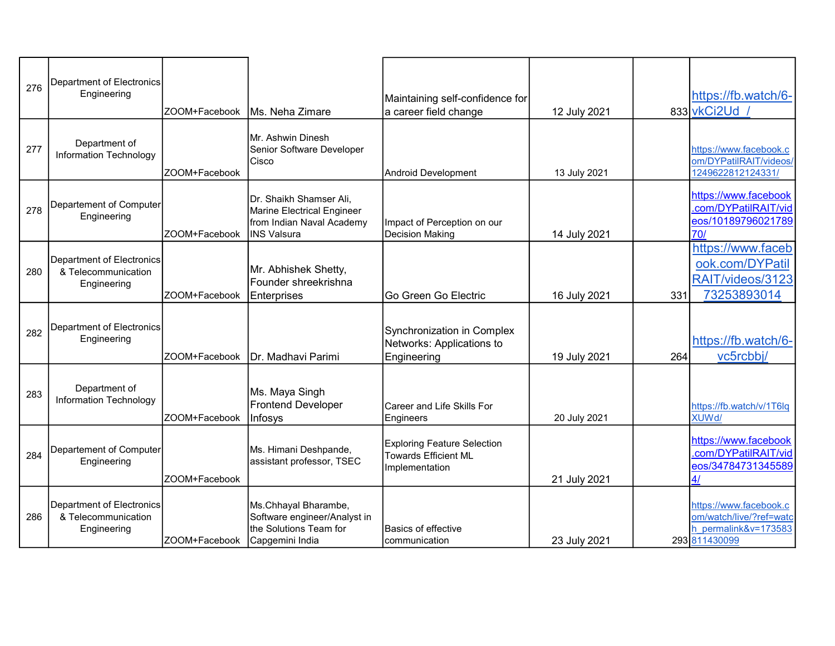| 276 | Department of Electronics<br>Engineering                               | ZOOM+Facebook | Ms. Neha Zimare                                                                                   | Maintaining self-confidence for<br>a career field change                            | 12 July 2021 |     | https://fb.watch/6-<br>833 vkCi2Ud                                                         |
|-----|------------------------------------------------------------------------|---------------|---------------------------------------------------------------------------------------------------|-------------------------------------------------------------------------------------|--------------|-----|--------------------------------------------------------------------------------------------|
| 277 | Department of<br>Information Technology                                | ZOOM+Facebook | Mr. Ashwin Dinesh<br>Senior Software Developer<br>Cisco                                           | Android Development                                                                 | 13 July 2021 |     | https://www.facebook.c<br>om/DYPatilRAIT/videos/<br>1249622812124331/                      |
| 278 | Departement of Computer<br>Engineering                                 | ZOOM+Facebook | Dr. Shaikh Shamser Ali,<br>Marine Electrical Engineer<br>from Indian Naval Academy<br>INS Valsura | Impact of Perception on our<br><b>Decision Making</b>                               | 14 July 2021 |     | https://www.facebook<br>.com/DYPatilRAIT/vid<br>eos/10189796021789<br>70/                  |
| 280 | Department of Electronics<br>& Telecommunication<br>Engineering        | ZOOM+Facebook | Mr. Abhishek Shetty,<br>Founder shreekrishna<br><b>Enterprises</b>                                | Go Green Go Electric                                                                | 16 July 2021 | 331 | https://www.faceb<br>ook.com/DYPatil<br>RAIT/videos/3123<br>73253893014                    |
| 282 | <b>Department of Electronics</b><br>Engineering                        | ZOOM+Facebook | Dr. Madhavi Parimi                                                                                | Synchronization in Complex<br>Networks: Applications to<br>Engineering              | 19 July 2021 | 264 | https://fb.watch/6-<br>vc5rcbbj/                                                           |
| 283 | Department of<br>Information Technology                                | ZOOM+Facebook | Ms. Maya Singh<br><b>Frontend Developer</b><br>Infosys                                            | Career and Life Skills For<br>Engineers                                             | 20 July 2021 |     | https://fb.watch/v/1T6lq<br><b>XUWd/</b>                                                   |
| 284 | Departement of Computer<br>Engineering                                 | ZOOM+Facebook | Ms. Himani Deshpande,<br>assistant professor, TSEC                                                | <b>Exploring Feature Selection</b><br><b>Towards Efficient ML</b><br>Implementation | 21 July 2021 |     | https://www.facebook<br>.com/DYPatilRAIT/vid<br>eos/34784731345589<br>4/                   |
| 286 | <b>Department of Electronics</b><br>& Telecommunication<br>Engineering | ZOOM+Facebook | Ms.Chhayal Bharambe,<br>Software engineer/Analyst in<br>the Solutions Team for<br>Capgemini India | <b>Basics of effective</b><br>communication                                         | 23 July 2021 |     | https://www.facebook.c<br>om/watch/live/?ref=watc<br>h permalink&v=173583<br>293 811430099 |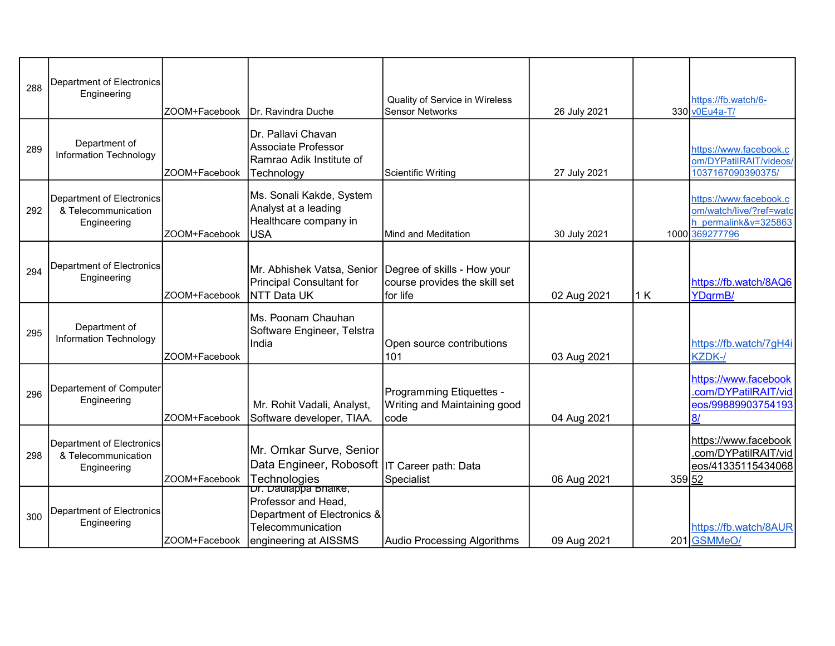| 288 | Department of Electronics<br>Engineering                        | ZOOM+Facebook | <b>IDr. Ravindra Duche</b>                                                                                               | Quality of Service in Wireless<br><b>Sensor Networks</b>                 | 26 July 2021 |        | https://fb.watch/6-<br>330 v0Eu4a-T/                                                        |
|-----|-----------------------------------------------------------------|---------------|--------------------------------------------------------------------------------------------------------------------------|--------------------------------------------------------------------------|--------------|--------|---------------------------------------------------------------------------------------------|
| 289 | Department of<br>Information Technology                         | ZOOM+Facebook | Dr. Pallavi Chavan<br>Associate Professor<br>Ramrao Adik Institute of<br>Technology                                      | Scientific Writing                                                       | 27 July 2021 |        | https://www.facebook.c<br>om/DYPatilRAIT/videos/<br>1037167090390375/                       |
| 292 | Department of Electronics<br>& Telecommunication<br>Engineering | ZOOM+Facebook | Ms. Sonali Kakde, System<br>Analyst at a leading<br>Healthcare company in<br>lusa                                        | Mind and Meditation                                                      | 30 July 2021 |        | https://www.facebook.c<br>om/watch/live/?ref=watc<br>h permalink&v=325863<br>1000 369277796 |
| 294 | Department of Electronics<br>Engineering                        | ZOOM+Facebook | Mr. Abhishek Vatsa, Senior<br>Principal Consultant for<br><b>NTT Data UK</b>                                             | Degree of skills - How your<br>course provides the skill set<br>for life | 02 Aug 2021  | 1K     | https://fb.watch/8AQ6<br>YDqrmB/                                                            |
| 295 | Department of<br>Information Technology                         | ZOOM+Facebook | Ms. Poonam Chauhan<br>Software Engineer, Telstra<br>India                                                                | Open source contributions<br>101                                         | 03 Aug 2021  |        | https://fb.watch/7gH4i<br>KZDK-/                                                            |
| 296 | Departement of Computer<br>Engineering                          | ZOOM+Facebook | Mr. Rohit Vadali, Analyst,<br>Software developer, TIAA.                                                                  | Programming Etiquettes -<br>Writing and Maintaining good<br>code         | 04 Aug 2021  |        | https://www.facebook<br>com/DYPatilRAIT/vid<br>eos/99889903754193<br>8/                     |
| 298 | Department of Electronics<br>& Telecommunication<br>Engineering | ZOOM+Facebook | Mr. Omkar Surve, Senior<br>Data Engineer, Robosoft  IT Career path: Data<br>Technologies                                 | Specialist                                                               | 06 Aug 2021  | 359 52 | https://www.facebook<br>.com/DYPatilRAIT/vid<br>eos/41335115434068                          |
| 300 | <b>Department of Electronics</b><br>Engineering                 | ZOOM+Facebook | Dr. Daulappa Bhaike,<br>Professor and Head,<br>Department of Electronics &<br>Telecommunication<br>engineering at AISSMS | <b>Audio Processing Algorithms</b>                                       | 09 Aug 2021  |        | https://fb.watch/8AUR<br>201 GSMMeO/                                                        |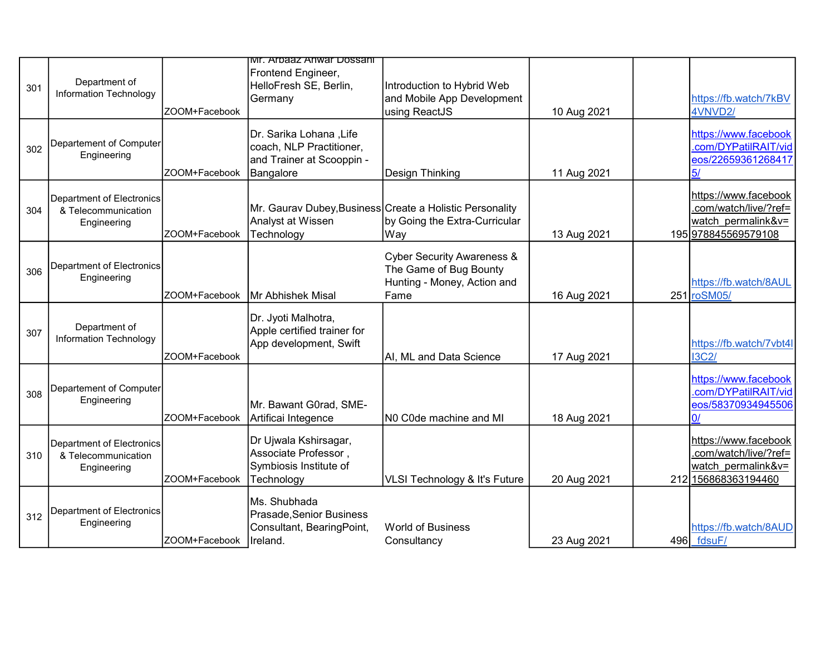|     |                                                                 |               | ivir. Arpaaz Anwar Dossani                                                                    |                                                                                                        |             |     |                                                                                            |
|-----|-----------------------------------------------------------------|---------------|-----------------------------------------------------------------------------------------------|--------------------------------------------------------------------------------------------------------|-------------|-----|--------------------------------------------------------------------------------------------|
| 301 | Department of<br>Information Technology                         | ZOOM+Facebook | Frontend Engineer,<br>HelloFresh SE, Berlin,<br>Germany                                       | Introduction to Hybrid Web<br>and Mobile App Development<br>using ReactJS                              | 10 Aug 2021 |     | https://fb.watch/7kBV<br>4VNVD2/                                                           |
| 302 | Departement of Computer<br>Engineering                          | ZOOM+Facebook | Dr. Sarika Lohana, Life<br>coach, NLP Practitioner,<br>and Trainer at Scooppin -<br>Bangalore | Design Thinking                                                                                        | 11 Aug 2021 |     | https://www.facebook<br>.com/DYPatilRAIT/vid<br>eos/22659361268417<br>5/                   |
| 304 | Department of Electronics<br>& Telecommunication<br>Engineering | ZOOM+Facebook | Analyst at Wissen<br>Technology                                                               | Mr. Gaurav Dubey, Business Create a Holistic Personality<br>by Going the Extra-Curricular<br>Way       | 13 Aug 2021 |     | https://www.facebook<br>.com/watch/live/?ref=<br>watch permalink&v=<br>195 978845569579108 |
| 306 | Department of Electronics<br>Engineering                        | ZOOM+Facebook | <b>Mr Abhishek Misal</b>                                                                      | <b>Cyber Security Awareness &amp;</b><br>The Game of Bug Bounty<br>Hunting - Money, Action and<br>Fame | 16 Aug 2021 |     | https://fb.watch/8AUL<br>251 roSM05/                                                       |
| 307 | Department of<br><b>Information Technology</b>                  | ZOOM+Facebook | Dr. Jyoti Malhotra,<br>Apple certified trainer for<br>App development, Swift                  | AI, ML and Data Science                                                                                | 17 Aug 2021 |     | https://fb.watch/7vbt4l<br><b>I3C2/</b>                                                    |
| 308 | Departement of Computer<br>Engineering                          | ZOOM+Facebook | Mr. Bawant G0rad, SME-<br>Artificai Integence                                                 | NO C0de machine and MI                                                                                 | 18 Aug 2021 |     | https://www.facebook<br>.com/DYPatilRAIT/vid<br>eos/58370934945506<br>0I                   |
| 310 | Department of Electronics<br>& Telecommunication<br>Engineering | ZOOM+Facebook | Dr Ujwala Kshirsagar,<br>Associate Professor,<br>Symbiosis Institute of<br>Technology         | VLSI Technology & It's Future                                                                          | 20 Aug 2021 | 212 | https://www.facebook<br>.com/watch/live/?ref=<br>watch permalink&v=<br>156868363194460     |
| 312 | Department of Electronics<br>Engineering                        | ZOOM+Facebook | Ms. Shubhada<br>Prasade, Senior Business<br>Consultant, BearingPoint,<br>Ireland.             | <b>World of Business</b><br>Consultancy                                                                | 23 Aug 2021 |     | https://fb.watch/8AUD<br>496 fdsuF/                                                        |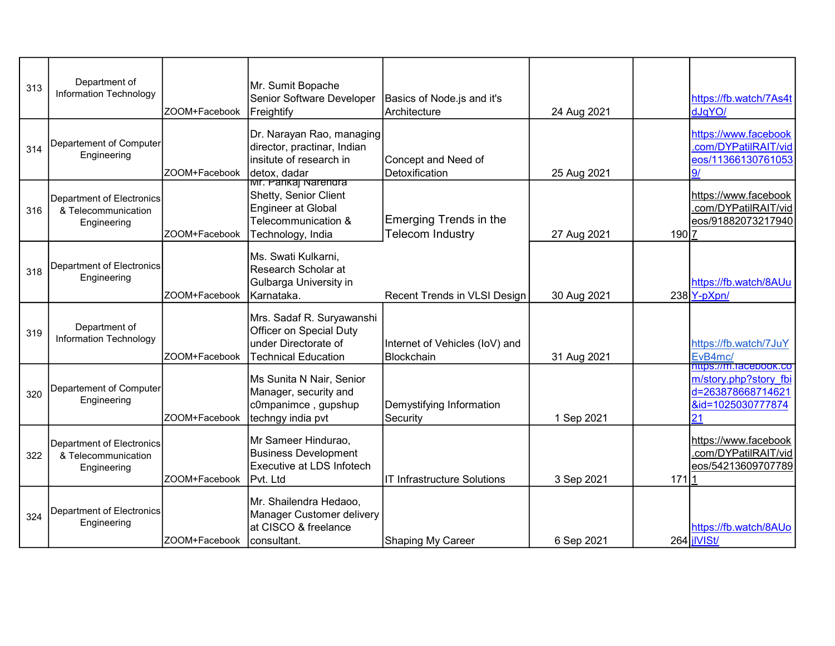| 313 | Department of<br>Information Technology                                | ZOOM+Facebook | Mr. Sumit Bopache<br>Senior Software Developer<br>Freightify                                                           | Basics of Node.js and it's<br>lArchitecture       | 24 Aug 2021 |       | https://fb.watch/7As4t<br>dJqYO/                                                               |
|-----|------------------------------------------------------------------------|---------------|------------------------------------------------------------------------------------------------------------------------|---------------------------------------------------|-------------|-------|------------------------------------------------------------------------------------------------|
| 314 | Departement of Computer<br>Engineering                                 | ZOOM+Facebook | Dr. Narayan Rao, managing<br>director, practinar, Indian<br>linsitute of research in<br>detox, dadar                   | Concept and Need of<br>Detoxification             | 25 Aug 2021 |       | https://www.facebook<br>.com/DYPatilRAIT/vid<br>eos/11366130761053<br>91                       |
| 316 | <b>Department of Electronics</b><br>& Telecommunication<br>Engineering | ZOOM+Facebook | <u>lwr. Pankaj Narendra</u><br>Shetty, Senior Client<br>Engineer at Global<br>Telecommunication &<br>Technology, India | Emerging Trends in the<br><b>Telecom Industry</b> | 27 Aug 2021 | 190 7 | https://www.facebook<br>.com/DYPatilRAIT/vid<br>eos/91882073217940                             |
| 318 | Department of Electronics<br>Engineering                               | ZOOM+Facebook | Ms. Swati Kulkarni,<br>Research Scholar at<br>Gulbarga University in<br>Karnataka.                                     | Recent Trends in VLSI Design                      | 30 Aug 2021 |       | https://fb.watch/8AUu<br>$238$ Y-pXpn/                                                         |
| 319 | Department of<br>Information Technology                                | ZOOM+Facebook | Mrs. Sadaf R. Suryawanshi<br>Officer on Special Duty<br>lunder Directorate of<br>Technical Education                   | Internet of Vehicles (IoV) and<br>Blockchain      | 31 Aug 2021 |       | https://fb.watch/7JuY<br>EvB4mc/                                                               |
| 320 | Departement of Computer<br>Engineering                                 | ZOOM+Facebook | Ms Sunita N Nair, Senior<br>Manager, security and<br>c0mpanimce , gupshup<br>techngy india pvt                         | Demystifying Information<br>Security              | 1 Sep 2021  |       | nttps://m.facebook.co<br>m/story.php?story fbi<br>d=263878668714621<br>&id=1025030777874<br>21 |
| 322 | Department of Electronics<br>& Telecommunication<br>Engineering        | ZOOM+Facebook | Mr Sameer Hindurao,<br><b>Business Development</b><br>Executive at LDS Infotech<br><b>IPvt.</b> Ltd                    | IIT Infrastructure Solutions                      | 3 Sep 2021  | 171 1 | https://www.facebook<br>.com/DYPatilRAIT/vid<br>eos/54213609707789                             |
| 324 | <b>Department of Electronics</b><br>Engineering                        | ZOOM+Facebook | Mr. Shailendra Hedaoo,<br>Manager Customer delivery<br>at CISCO & freelance<br>consultant.                             | Shaping My Career                                 | 6 Sep 2021  |       | https://fb.watch/8AUo<br>264 jIVISt/                                                           |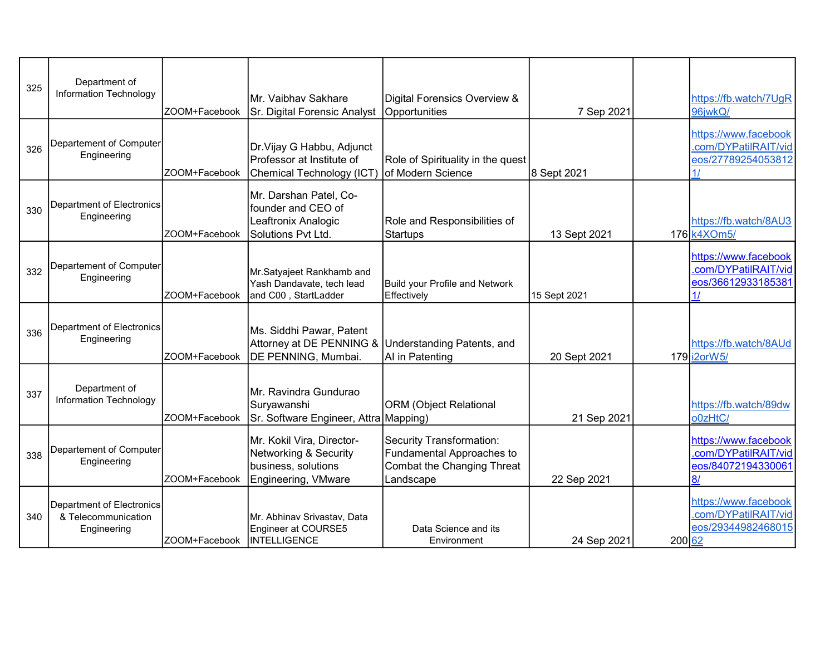| 325 | Department of<br><b>Information Technology</b>                  | ZOOM+Facebook | İMr. Vaibhav Sakhare<br>Sr. Digital Forensic Analyst                                                   | Digital Forensics Overview &<br>Opportunities                                                    | 7 Sep 2021   |        | https://fb.watch/7UqR<br>96jwkQ/                                                    |
|-----|-----------------------------------------------------------------|---------------|--------------------------------------------------------------------------------------------------------|--------------------------------------------------------------------------------------------------|--------------|--------|-------------------------------------------------------------------------------------|
| 326 | Departement of Computer<br>Engineering                          | ZOOM+Facebook | Dr. Vijay G Habbu, Adjunct<br>Professor at Institute of<br>Chemical Technology (ICT)                   | Role of Spirituality in the quest<br>of Modern Science                                           | 8 Sept 2021  |        | https://www.facebook<br>.com/DYPatilRAIT/vid<br>eos/27789254053812<br>$\frac{1}{2}$ |
| 330 | <b>Department of Electronics</b><br>Engineering                 | ZOOM+Facebook | Mr. Darshan Patel, Co-<br>founder and CEO of<br>Leaftronix Analogic<br>Solutions Pvt Ltd.              | Role and Responsibilities of<br>Startups                                                         | 13 Sept 2021 |        | https://fb.watch/8AU3<br>176 k4XOm5/                                                |
| 332 | Departement of Computer<br>Engineering                          | ZOOM+Facebook | Mr.Satyajeet Rankhamb and<br>Yash Dandavate, tech lead<br>and C00, StartLadder                         | Build your Profile and Network<br>Effectively                                                    | 15 Sept 2021 |        | https://www.facebook<br>.com/DYPatilRAIT/vid<br>eos/36612933185381<br>1/            |
| 336 | Department of Electronics<br>Engineering                        | ZOOM+Facebook | Ms. Siddhi Pawar, Patent<br>Attorney at DE PENNING & Understanding Patents, and<br>DE PENNING, Mumbai. | AI in Patenting                                                                                  | 20 Sept 2021 |        | https://fb.watch/8AUd<br>179 i2orW5/                                                |
| 337 | Department of<br>Information Technology                         | ZOOM+Facebook | Mr. Ravindra Gundurao<br>Suryawanshi<br>Sr. Software Engineer, Attra Mapping)                          | <b>ORM</b> (Object Relational                                                                    | 21 Sep 2021  |        | https://fb.watch/89dw<br>o0zHtC/                                                    |
| 338 | Departement of Computer<br>Engineering                          | ZOOM+Facebook | Mr. Kokil Vira, Director-<br>Networking & Security<br>business, solutions<br>Engineering, VMware       | Security Transformation:<br>Fundamental Approaches to<br>Combat the Changing Threat<br>Landscape | 22 Sep 2021  |        | https://www.facebook<br>.com/DYPatilRAIT/vid<br>eos/84072194330061<br>8/            |
| 340 | Department of Electronics<br>& Telecommunication<br>Engineering | ZOOM+Facebook | Mr. Abhinav Srivastav, Data<br>Engineer at COURSE5<br><b>INTELLIGENCE</b>                              | Data Science and its<br>Environment                                                              | 24 Sep 2021  | 200 62 | https://www.facebook<br>.com/DYPatilRAIT/vid<br>eos/29344982468015                  |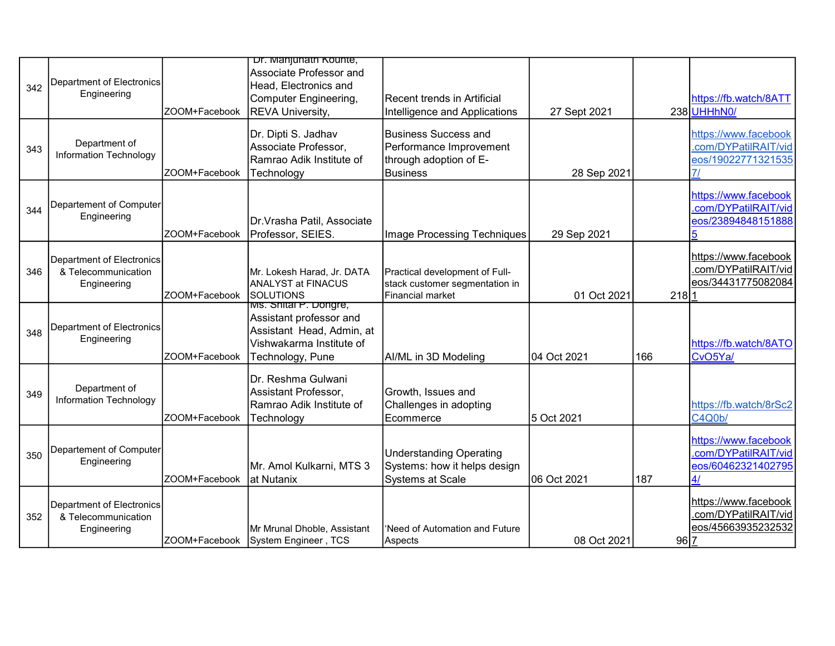| 342 | Department of Electronics<br>Engineering                        | ZOOM+Facebook | Dr. Manjunath Kounte,<br>Associate Professor and<br>Head, Electronics and<br>Computer Engineering,<br><b>REVA University,</b> | Recent trends in Artificial<br>Intelligence and Applications                                 | 27 Sept 2021 |          | https://fb.watch/8ATT<br>238 UHHhN0/                                     |
|-----|-----------------------------------------------------------------|---------------|-------------------------------------------------------------------------------------------------------------------------------|----------------------------------------------------------------------------------------------|--------------|----------|--------------------------------------------------------------------------|
| 343 | Department of<br>Information Technology                         | ZOOM+Facebook | Dr. Dipti S. Jadhav<br>Associate Professor,<br>Ramrao Adik Institute of<br>Technology                                         | Business Success and<br>Performance Improvement<br>through adoption of E-<br><b>Business</b> | 28 Sep 2021  |          | https://www.facebook<br>.com/DYPatilRAIT/vid<br>eos/19022771321535<br>71 |
| 344 | Departement of Computer<br>Engineering                          | ZOOM+Facebook | Dr.Vrasha Patil, Associate<br>Professor, SEIES.                                                                               | Image Processing Techniques                                                                  | 29 Sep 2021  |          | https://www.facebook<br>.com/DYPatilRAIT/vid<br>eos/23894848151888       |
| 346 | Department of Electronics<br>& Telecommunication<br>Engineering | ZOOM+Facebook | Mr. Lokesh Harad, Jr. DATA<br><b>ANALYST at FINACUS</b><br><b>SOLUTIONS</b>                                                   | Practical development of Full-<br>stack customer segmentation in<br>Financial market         | 01 Oct 2021  | $218$  1 | https://www.facebook<br>.com/DYPatilRAIT/vid<br>eos/34431775082084       |
| 348 | <b>Department of Electronics</b><br>Engineering                 | ZOOM+Facebook | Ms. Shital P. Dongre,<br>Assistant professor and<br>Assistant Head, Admin, at<br>Vishwakarma Institute of<br>Technology, Pune | AI/ML in 3D Modeling                                                                         | 104 Oct 2021 | 166      | https://fb.watch/8ATO<br>CvO5Ya/                                         |
| 349 | Department of<br>Information Technology                         | ZOOM+Facebook | Dr. Reshma Gulwani<br>Assistant Professor,<br>Ramrao Adik Institute of<br>Technology                                          | Growth, Issues and<br>Challenges in adopting<br>Ecommerce                                    | 5 Oct 2021   |          | https://fb.watch/8rSc2<br>C4Q0b/                                         |
| 350 | Departement of Computer<br>Engineering                          | ZOOM+Facebook | Mr. Amol Kulkarni, MTS 3<br>at Nutanix                                                                                        | Understanding Operating<br>Systems: how it helps design<br><b>Systems at Scale</b>           | 06 Oct 2021  | 187      | https://www.facebook<br>.com/DYPatilRAIT/vid<br>eos/60462321402795<br>4/ |
| 352 | Department of Electronics<br>& Telecommunication<br>Engineering |               | Mr Mrunal Dhoble, Assistant<br>ZOOM+Facebook System Engineer, TCS                                                             | 'Need of Automation and Future<br>Aspects                                                    | 08 Oct 2021  | 96 7     | https://www.facebook<br>.com/DYPatilRAIT/vid<br>eos/45663935232532       |